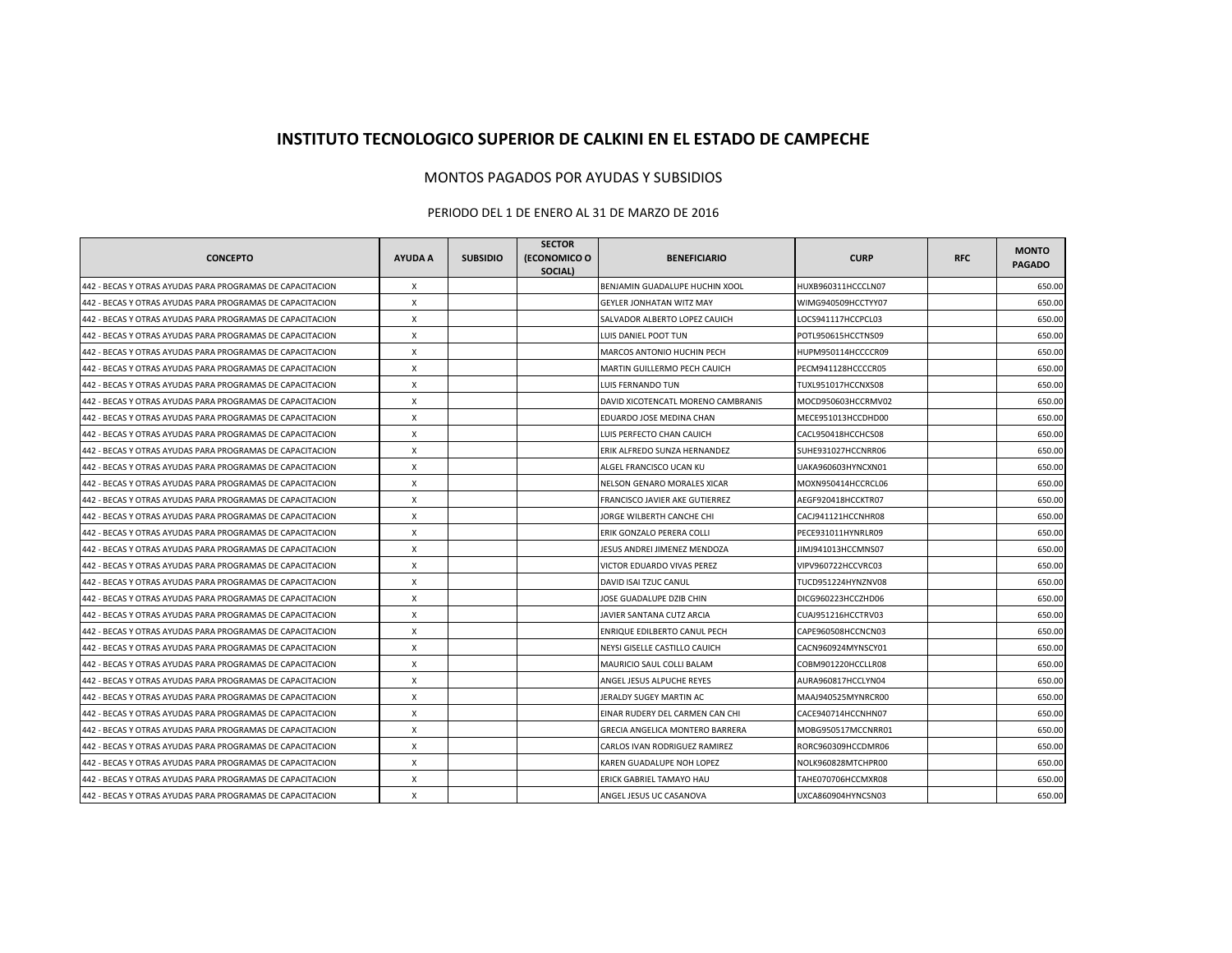## **INSTITUTO TECNOLOGICO SUPERIOR DE CALKINI EN EL ESTADO DE CAMPECHE**

## MONTOS PAGADOS POR AYUDAS Y SUBSIDIOS

## PERIODO DEL 1 DE ENERO AL 31 DE MARZO DE 2016

| <b>CONCEPTO</b>                                           | <b>AYUDA A</b> | <b>SUBSIDIO</b> | <b>SECTOR</b><br>(ECONOMICO O<br>SOCIAL) | <b>BENEFICIARIO</b>                | <b>CURP</b>        | <b>RFC</b> | <b>MONTO</b><br><b>PAGADO</b> |
|-----------------------------------------------------------|----------------|-----------------|------------------------------------------|------------------------------------|--------------------|------------|-------------------------------|
| 442 - BECAS Y OTRAS AYUDAS PARA PROGRAMAS DE CAPACITACION | X              |                 |                                          | BENJAMIN GUADALUPE HUCHIN XOOL     | HUXB960311HCCCLN07 |            | 650.00                        |
| 442 - BECAS Y OTRAS AYUDAS PARA PROGRAMAS DE CAPACITACION | X              |                 |                                          | <b>GEYLER JONHATAN WITZ MAY</b>    | WIMG940509HCCTYY07 |            | 650.00                        |
| 442 - BECAS Y OTRAS AYUDAS PARA PROGRAMAS DE CAPACITACION | X              |                 |                                          | SALVADOR ALBERTO LOPEZ CAUICH      | LOCS941117HCCPCL03 |            | 650.00                        |
| 442 - BECAS Y OTRAS AYUDAS PARA PROGRAMAS DE CAPACITACION | X              |                 |                                          | LUIS DANIEL POOT TUN               | POTL950615HCCTNS09 |            | 650.00                        |
| 442 - BECAS Y OTRAS AYUDAS PARA PROGRAMAS DE CAPACITACION | X              |                 |                                          | MARCOS ANTONIO HUCHIN PECH         | HUPM950114HCCCCR09 |            | 650.00                        |
| 442 - BECAS Y OTRAS AYUDAS PARA PROGRAMAS DE CAPACITACION | X              |                 |                                          | MARTIN GUILLERMO PECH CAUICH       | PECM941128HCCCCR05 |            | 650.00                        |
| 442 - BECAS Y OTRAS AYUDAS PARA PROGRAMAS DE CAPACITACION | $\mathsf{x}$   |                 |                                          | LUIS FERNANDO TUN                  | TUXL951017HCCNXS08 |            | 650.00                        |
| 442 - BECAS Y OTRAS AYUDAS PARA PROGRAMAS DE CAPACITACION | X              |                 |                                          | DAVID XICOTENCATL MORENO CAMBRANIS | MOCD950603HCCRMV02 |            | 650.00                        |
| 442 - BECAS Y OTRAS AYUDAS PARA PROGRAMAS DE CAPACITACION | X              |                 |                                          | EDUARDO JOSE MEDINA CHAN           | MECE951013HCCDHD00 |            | 650.00                        |
| 442 - BECAS Y OTRAS AYUDAS PARA PROGRAMAS DE CAPACITACION | X              |                 |                                          | LUIS PERFECTO CHAN CAUICH          | CACL950418HCCHCS08 |            | 650.00                        |
| 442 - BECAS Y OTRAS AYUDAS PARA PROGRAMAS DE CAPACITACION | X              |                 |                                          | ERIK ALFREDO SUNZA HERNANDEZ       | SUHE931027HCCNRR06 |            | 650.00                        |
| 442 - BECAS Y OTRAS AYUDAS PARA PROGRAMAS DE CAPACITACION | X              |                 |                                          | ALGEL FRANCISCO UCAN KU            | UAKA960603HYNCXN01 |            | 650.00                        |
| 442 - BECAS Y OTRAS AYUDAS PARA PROGRAMAS DE CAPACITACION | X              |                 |                                          | NELSON GENARO MORALES XICAR        | MOXN950414HCCRCL06 |            | 650.00                        |
| 442 - BECAS Y OTRAS AYUDAS PARA PROGRAMAS DE CAPACITACION | X              |                 |                                          | FRANCISCO JAVIER AKE GUTIERREZ     | AEGF920418HCCKTR07 |            | 650.00                        |
| 442 - BECAS Y OTRAS AYUDAS PARA PROGRAMAS DE CAPACITACION | X              |                 |                                          | JORGE WILBERTH CANCHE CHI          | CACJ941121HCCNHR08 |            | 650.00                        |
| 442 - BECAS Y OTRAS AYUDAS PARA PROGRAMAS DE CAPACITACION | X              |                 |                                          | ERIK GONZALO PERERA COLLI          | PECE931011HYNRLR09 |            | 650.00                        |
| 442 - BECAS Y OTRAS AYUDAS PARA PROGRAMAS DE CAPACITACION | X              |                 |                                          | JESUS ANDREI JIMENEZ MENDOZA       | JIMJ941013HCCMNS07 |            | 650.00                        |
| 442 - BECAS Y OTRAS AYUDAS PARA PROGRAMAS DE CAPACITACION | X              |                 |                                          | VICTOR EDUARDO VIVAS PEREZ         | VIPV960722HCCVRC03 |            | 650.00                        |
| 442 - BECAS Y OTRAS AYUDAS PARA PROGRAMAS DE CAPACITACION | X              |                 |                                          | DAVID ISAI TZUC CANUL              | TUCD951224HYNZNV08 |            | 650.00                        |
| 442 - BECAS Y OTRAS AYUDAS PARA PROGRAMAS DE CAPACITACION | X              |                 |                                          | JOSE GUADALUPE DZIB CHIN           | DICG960223HCCZHD06 |            | 650.00                        |
| 442 - BECAS Y OTRAS AYUDAS PARA PROGRAMAS DE CAPACITACION | X              |                 |                                          | JAVIER SANTANA CUTZ ARCIA          | CUAJ951216HCCTRV03 |            | 650.00                        |
| 442 - BECAS Y OTRAS AYUDAS PARA PROGRAMAS DE CAPACITACION | $\mathsf{x}$   |                 |                                          | ENRIQUE EDILBERTO CANUL PECH       | CAPE960508HCCNCN03 |            | 650.00                        |
| 442 - BECAS Y OTRAS AYUDAS PARA PROGRAMAS DE CAPACITACION | X              |                 |                                          | NEYSI GISELLE CASTILLO CAUICH      | CACN960924MYNSCY01 |            | 650.00                        |
| 442 - BECAS Y OTRAS AYUDAS PARA PROGRAMAS DE CAPACITACION | X              |                 |                                          | MAURICIO SAUL COLLI BALAM          | COBM901220HCCLLR08 |            | 650.00                        |
| 442 - BECAS Y OTRAS AYUDAS PARA PROGRAMAS DE CAPACITACION | X              |                 |                                          | ANGEL JESUS ALPUCHE REYES          | AURA960817HCCLYN04 |            | 650.00                        |
| 442 - BECAS Y OTRAS AYUDAS PARA PROGRAMAS DE CAPACITACION | X              |                 |                                          | JERALDY SUGEY MARTIN AC            | MAAJ940525MYNRCR00 |            | 650.00                        |
| 442 - BECAS Y OTRAS AYUDAS PARA PROGRAMAS DE CAPACITACION | X              |                 |                                          | EINAR RUDERY DEL CARMEN CAN CHI    | CACE940714HCCNHN07 |            | 650.00                        |
| 442 - BECAS Y OTRAS AYUDAS PARA PROGRAMAS DE CAPACITACION | X              |                 |                                          | GRECIA ANGELICA MONTERO BARRERA    | MOBG950517MCCNRR01 |            | 650.00                        |
| 442 - BECAS Y OTRAS AYUDAS PARA PROGRAMAS DE CAPACITACION | X              |                 |                                          | CARLOS IVAN RODRIGUEZ RAMIREZ      | RORC960309HCCDMR06 |            | 650.00                        |
| 442 - BECAS Y OTRAS AYUDAS PARA PROGRAMAS DE CAPACITACION | X              |                 |                                          | KAREN GUADALUPE NOH LOPEZ          | NOLK960828MTCHPR00 |            | 650.00                        |
| 442 - BECAS Y OTRAS AYUDAS PARA PROGRAMAS DE CAPACITACION | X              |                 |                                          | <b>ERICK GABRIEL TAMAYO HAU</b>    | TAHE070706HCCMXR08 |            | 650.00                        |
| 442 - BECAS Y OTRAS AYUDAS PARA PROGRAMAS DE CAPACITACION | X              |                 |                                          | ANGEL JESUS UC CASANOVA            | UXCA860904HYNCSN03 |            | 650.00                        |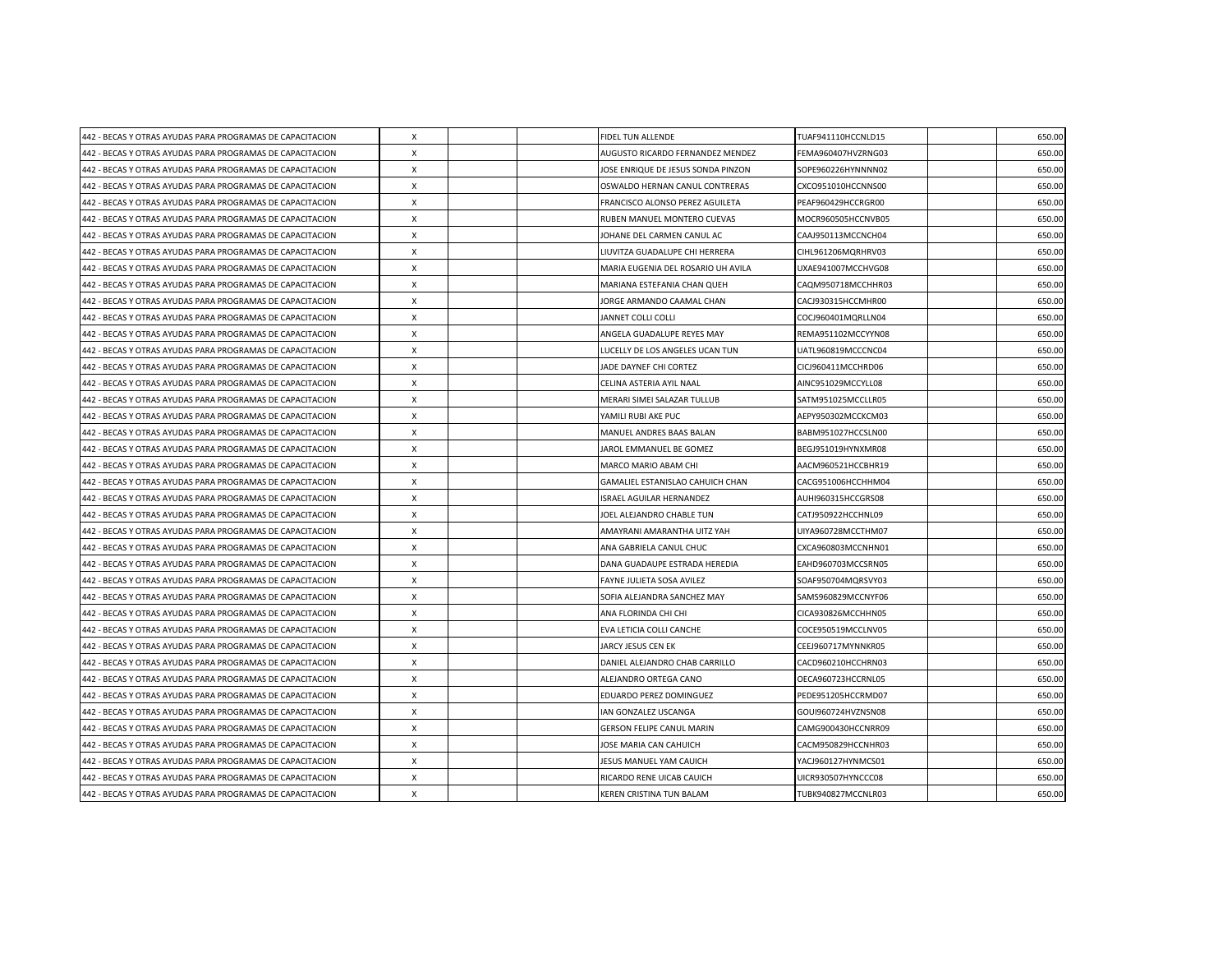| 442 - BECAS Y OTRAS AYUDAS PARA PROGRAMAS DE CAPACITACION | X            |  | FIDEL TUN ALLENDE                  | TUAF941110HCCNLD15 | 650.00 |
|-----------------------------------------------------------|--------------|--|------------------------------------|--------------------|--------|
| 442 - BECAS Y OTRAS AYUDAS PARA PROGRAMAS DE CAPACITACION | X            |  | AUGUSTO RICARDO FERNANDEZ MENDEZ   | FEMA960407HVZRNG03 | 650.00 |
| 442 - BECAS Y OTRAS AYUDAS PARA PROGRAMAS DE CAPACITACION | X            |  | JOSE ENRIQUE DE JESUS SONDA PINZON | SOPE960226HYNNNN02 | 650.00 |
| 442 - BECAS Y OTRAS AYUDAS PARA PROGRAMAS DE CAPACITACION | X            |  | OSWALDO HERNAN CANUL CONTRERAS     | CXCO951010HCCNNS00 | 650.00 |
| 442 - BECAS Y OTRAS AYUDAS PARA PROGRAMAS DE CAPACITACION | X            |  | FRANCISCO ALONSO PEREZ AGUILETA    | PEAF960429HCCRGR00 | 650.00 |
| 442 - BECAS Y OTRAS AYUDAS PARA PROGRAMAS DE CAPACITACION | X            |  | RUBEN MANUEL MONTERO CUEVAS        | MOCR960505HCCNVB05 | 650.00 |
| 442 - BECAS Y OTRAS AYUDAS PARA PROGRAMAS DE CAPACITACION | X            |  | JOHANE DEL CARMEN CANUL AC         | CAAJ950113MCCNCH04 | 650.00 |
| 442 - BECAS Y OTRAS AYUDAS PARA PROGRAMAS DE CAPACITACION | X            |  | LIUVITZA GUADALUPE CHI HERRERA     | CIHL961206MQRHRV03 | 650.00 |
| 442 - BECAS Y OTRAS AYUDAS PARA PROGRAMAS DE CAPACITACION | X            |  | MARIA EUGENIA DEL ROSARIO UH AVILA | UXAE941007MCCHVG08 | 650.00 |
| 442 - BECAS Y OTRAS AYUDAS PARA PROGRAMAS DE CAPACITACION | X            |  | MARIANA ESTEFANIA CHAN QUEH        | CAQM950718MCCHHR03 | 650.00 |
| 442 - BECAS Y OTRAS AYUDAS PARA PROGRAMAS DE CAPACITACION | X            |  | JORGE ARMANDO CAAMAL CHAN          | CACJ930315HCCMHR00 | 650.00 |
| 442 - BECAS Y OTRAS AYUDAS PARA PROGRAMAS DE CAPACITACION | X            |  | JANNET COLLI COLLI                 | COCJ960401MQRLLN04 | 650.00 |
| 442 - BECAS Y OTRAS AYUDAS PARA PROGRAMAS DE CAPACITACION | X            |  | ANGELA GUADALUPE REYES MAY         | REMA951102MCCYYN08 | 650.00 |
| 442 - BECAS Y OTRAS AYUDAS PARA PROGRAMAS DE CAPACITACION | X            |  | LUCELLY DE LOS ANGELES UCAN TUN    | UATL960819MCCCNC04 | 650.00 |
| 442 - BECAS Y OTRAS AYUDAS PARA PROGRAMAS DE CAPACITACION | X            |  | JADE DAYNEF CHI CORTEZ             | CICJ960411MCCHRD06 | 650.00 |
| 442 - BECAS Y OTRAS AYUDAS PARA PROGRAMAS DE CAPACITACION | X            |  | CELINA ASTERIA AYIL NAAL           | AINC951029MCCYLL08 | 650.00 |
| 442 - BECAS Y OTRAS AYUDAS PARA PROGRAMAS DE CAPACITACION | X            |  | MERARI SIMEI SALAZAR TULLUB        | SATM951025MCCLLR05 | 650.00 |
| 442 - BECAS Y OTRAS AYUDAS PARA PROGRAMAS DE CAPACITACION | X            |  | YAMILI RUBI AKE PUC                | AEPY950302MCCKCM03 | 650.00 |
| 442 - BECAS Y OTRAS AYUDAS PARA PROGRAMAS DE CAPACITACION | X            |  | MANUEL ANDRES BAAS BALAN           | BABM951027HCCSLN00 | 650.00 |
| 442 - BECAS Y OTRAS AYUDAS PARA PROGRAMAS DE CAPACITACION | X            |  | JAROL EMMANUEL BE GOMEZ            | BEGJ951019HYNXMR08 | 650.00 |
| 442 - BECAS Y OTRAS AYUDAS PARA PROGRAMAS DE CAPACITACION | X            |  | MARCO MARIO ABAM CHI               | AACM960521HCCBHR19 | 650.00 |
| 442 - BECAS Y OTRAS AYUDAS PARA PROGRAMAS DE CAPACITACION | X            |  | GAMALIEL ESTANISLAO CAHUICH CHAN   | CACG951006HCCHHM04 | 650.00 |
| 442 - BECAS Y OTRAS AYUDAS PARA PROGRAMAS DE CAPACITACION | X            |  | ISRAEL AGUILAR HERNANDEZ           | AUHI960315HCCGRS08 | 650.00 |
| 442 - BECAS Y OTRAS AYUDAS PARA PROGRAMAS DE CAPACITACION | $\times$     |  | JOEL ALEJANDRO CHABLE TUN          | CATJ950922HCCHNL09 | 650.00 |
| 442 - BECAS Y OTRAS AYUDAS PARA PROGRAMAS DE CAPACITACION | X            |  | AMAYRANI AMARANTHA UITZ YAH        | UIYA960728MCCTHM07 | 650.00 |
| 442 - BECAS Y OTRAS AYUDAS PARA PROGRAMAS DE CAPACITACION | X            |  | ANA GABRIELA CANUL CHUC            | CXCA960803MCCNHN01 | 650.00 |
| 442 - BECAS Y OTRAS AYUDAS PARA PROGRAMAS DE CAPACITACION | X            |  | DANA GUADAUPE ESTRADA HEREDIA      | EAHD960703MCCSRN05 | 650.00 |
| 442 - BECAS Y OTRAS AYUDAS PARA PROGRAMAS DE CAPACITACION | X            |  | FAYNE JULIETA SOSA AVILEZ          | SOAF950704MQRSVY03 | 650.00 |
| 442 - BECAS Y OTRAS AYUDAS PARA PROGRAMAS DE CAPACITACION | X            |  | SOFIA ALEJANDRA SANCHEZ MAY        | SAMS960829MCCNYF06 | 650.00 |
| 442 - BECAS Y OTRAS AYUDAS PARA PROGRAMAS DE CAPACITACION | X            |  | ANA FLORINDA CHI CHI               | CICA930826MCCHHN05 | 650.00 |
| 442 - BECAS Y OTRAS AYUDAS PARA PROGRAMAS DE CAPACITACION | $\times$     |  | EVA LETICIA COLLI CANCHE           | COCE950519MCCLNV05 | 650.00 |
| 442 - BECAS Y OTRAS AYUDAS PARA PROGRAMAS DE CAPACITACION | X            |  | JARCY JESUS CEN EK                 | CEEJ960717MYNNKR05 | 650.00 |
| 442 - BECAS Y OTRAS AYUDAS PARA PROGRAMAS DE CAPACITACION | X            |  | DANIEL ALEJANDRO CHAB CARRILLO     | CACD960210HCCHRN03 | 650.00 |
| 442 - BECAS Y OTRAS AYUDAS PARA PROGRAMAS DE CAPACITACION | X            |  | ALEJANDRO ORTEGA CANO              | OECA960723HCCRNL05 | 650.00 |
| 442 - BECAS Y OTRAS AYUDAS PARA PROGRAMAS DE CAPACITACION | X            |  | EDUARDO PEREZ DOMINGUEZ            | PEDE951205HCCRMD07 | 650.00 |
| 442 - BECAS Y OTRAS AYUDAS PARA PROGRAMAS DE CAPACITACION | X            |  | IAN GONZALEZ USCANGA               | GOUI960724HVZNSN08 | 650.00 |
| 442 - BECAS Y OTRAS AYUDAS PARA PROGRAMAS DE CAPACITACION | X            |  | <b>GERSON FELIPE CANUL MARIN</b>   | CAMG900430HCCNRR09 | 650.00 |
| 442 - BECAS Y OTRAS AYUDAS PARA PROGRAMAS DE CAPACITACION | X            |  | JOSE MARIA CAN CAHUICH             | CACM950829HCCNHR03 | 650.00 |
| 442 - BECAS Y OTRAS AYUDAS PARA PROGRAMAS DE CAPACITACION | X            |  | JESUS MANUEL YAM CAUICH            | YACJ960127HYNMCS01 | 650.00 |
| 442 - BECAS Y OTRAS AYUDAS PARA PROGRAMAS DE CAPACITACION | X            |  | RICARDO RENE UICAB CAUICH          | UICR930507HYNCCC08 | 650.00 |
| 442 - BECAS Y OTRAS AYUDAS PARA PROGRAMAS DE CAPACITACION | $\mathsf{x}$ |  | KEREN CRISTINA TUN BALAM           | TUBK940827MCCNLR03 | 650.00 |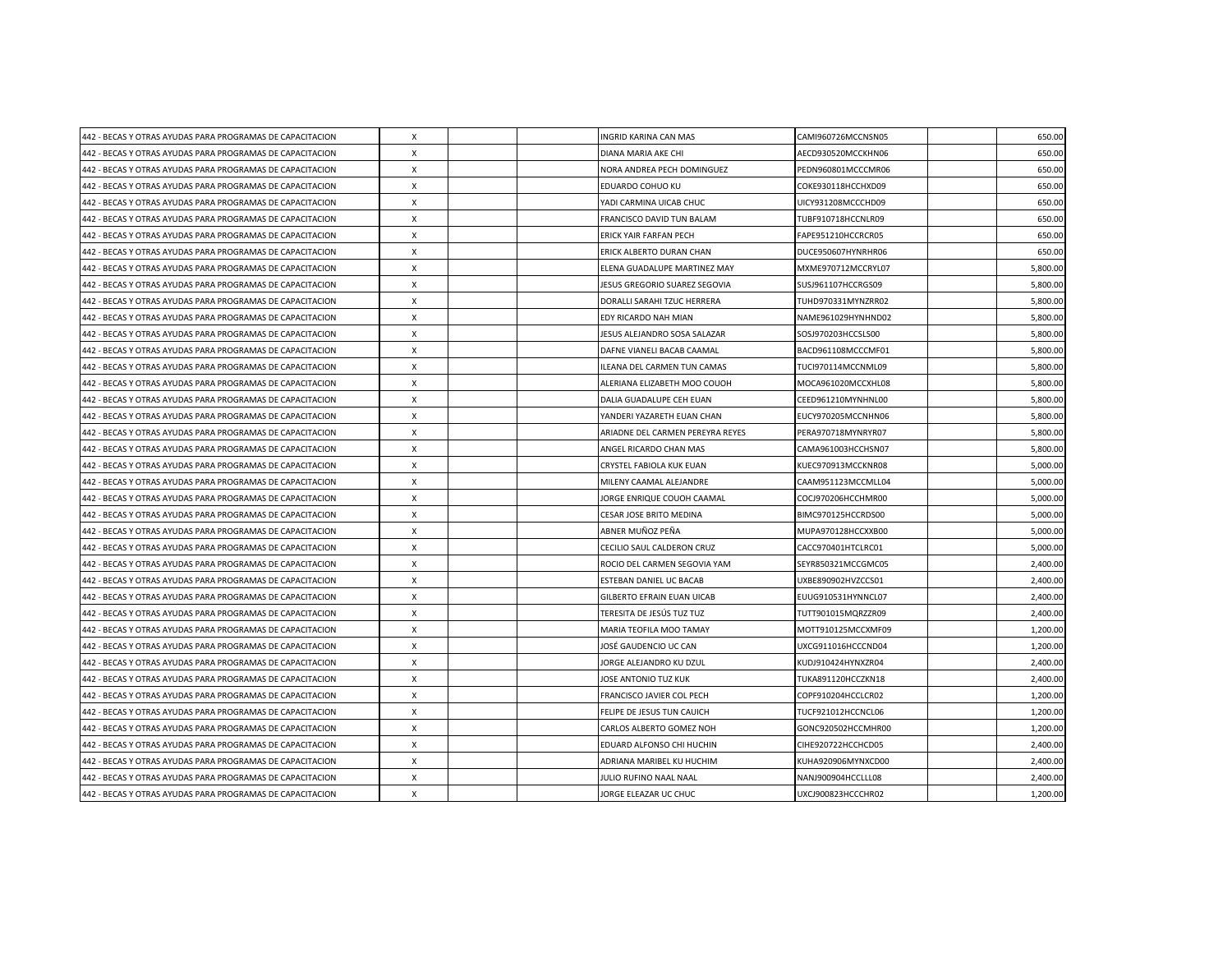| 442 - BECAS Y OTRAS AYUDAS PARA PROGRAMAS DE CAPACITACION | $\boldsymbol{\mathsf{X}}$ |  | INGRID KARINA CAN MAS            | CAMI960726MCCNSN05 | 650.00   |
|-----------------------------------------------------------|---------------------------|--|----------------------------------|--------------------|----------|
| 442 - BECAS Y OTRAS AYUDAS PARA PROGRAMAS DE CAPACITACION | X                         |  | DIANA MARIA AKE CHI              | AECD930520MCCKHN06 | 650.00   |
| 442 - BECAS Y OTRAS AYUDAS PARA PROGRAMAS DE CAPACITACION | $\boldsymbol{\mathsf{X}}$ |  | NORA ANDREA PECH DOMINGUEZ       | PEDN960801MCCCMR06 | 650.00   |
| 442 - BECAS Y OTRAS AYUDAS PARA PROGRAMAS DE CAPACITACION | $\boldsymbol{\mathsf{X}}$ |  | EDUARDO COHUO KU                 | COKE930118HCCHXD09 | 650.00   |
| 442 - BECAS Y OTRAS AYUDAS PARA PROGRAMAS DE CAPACITACION | X                         |  | YADI CARMINA UICAB CHUC          | UICY931208MCCCHD09 | 650.00   |
| 442 - BECAS Y OTRAS AYUDAS PARA PROGRAMAS DE CAPACITACION | $\boldsymbol{\mathsf{X}}$ |  | FRANCISCO DAVID TUN BALAM        | TUBF910718HCCNLR09 | 650.00   |
| 442 - BECAS Y OTRAS AYUDAS PARA PROGRAMAS DE CAPACITACION | X                         |  | <b>ERICK YAIR FARFAN PECH</b>    | FAPE951210HCCRCR05 | 650.00   |
| 442 - BECAS Y OTRAS AYUDAS PARA PROGRAMAS DE CAPACITACION | X                         |  | ERICK ALBERTO DURAN CHAN         | DUCE950607HYNRHR06 | 650.00   |
| 442 - BECAS Y OTRAS AYUDAS PARA PROGRAMAS DE CAPACITACION | $\boldsymbol{\mathsf{X}}$ |  | ELENA GUADALUPE MARTINEZ MAY     | MXME970712MCCRYL07 | 5,800.00 |
| 442 - BECAS Y OTRAS AYUDAS PARA PROGRAMAS DE CAPACITACION | $\boldsymbol{\mathsf{X}}$ |  | JESUS GREGORIO SUAREZ SEGOVIA    | SUSJ961107HCCRGS09 | 5,800.00 |
| 442 - BECAS Y OTRAS AYUDAS PARA PROGRAMAS DE CAPACITACION | X                         |  | DORALLI SARAHI TZUC HERRERA      | TUHD970331MYNZRR02 | 5,800.00 |
| 442 - BECAS Y OTRAS AYUDAS PARA PROGRAMAS DE CAPACITACION | $\boldsymbol{\mathsf{X}}$ |  | EDY RICARDO NAH MIAN             | NAME961029HYNHND02 | 5,800.00 |
| 442 - BECAS Y OTRAS AYUDAS PARA PROGRAMAS DE CAPACITACION | $\boldsymbol{\mathsf{X}}$ |  | JESUS ALEJANDRO SOSA SALAZAR     | SOSJ970203HCCSLS00 | 5,800.00 |
| 442 - BECAS Y OTRAS AYUDAS PARA PROGRAMAS DE CAPACITACION | X                         |  | DAFNE VIANELI BACAB CAAMAL       | BACD961108MCCCMF01 | 5,800.00 |
| 442 - BECAS Y OTRAS AYUDAS PARA PROGRAMAS DE CAPACITACION | $\boldsymbol{\mathsf{X}}$ |  | ILEANA DEL CARMEN TUN CAMAS      | TUCI970114MCCNML09 | 5,800.00 |
| 442 - BECAS Y OTRAS AYUDAS PARA PROGRAMAS DE CAPACITACION | $\boldsymbol{\mathsf{X}}$ |  | ALERIANA ELIZABETH MOO COUOH     | MOCA961020MCCXHL08 | 5,800.00 |
| 442 - BECAS Y OTRAS AYUDAS PARA PROGRAMAS DE CAPACITACION | $\boldsymbol{\mathsf{X}}$ |  | DALIA GUADALUPE CEH EUAN         | CEED961210MYNHNL00 | 5,800.00 |
| 442 - BECAS Y OTRAS AYUDAS PARA PROGRAMAS DE CAPACITACION | $\times$                  |  | YANDERI YAZARETH EUAN CHAN       | EUCY970205MCCNHN06 | 5,800.00 |
| 442 - BECAS Y OTRAS AYUDAS PARA PROGRAMAS DE CAPACITACION | X                         |  | ARIADNE DEL CARMEN PEREYRA REYES | PERA970718MYNRYR07 | 5,800.00 |
| 442 - BECAS Y OTRAS AYUDAS PARA PROGRAMAS DE CAPACITACION | $\boldsymbol{\mathsf{X}}$ |  | ANGEL RICARDO CHAN MAS           | CAMA961003HCCHSN07 | 5,800.00 |
| 442 - BECAS Y OTRAS AYUDAS PARA PROGRAMAS DE CAPACITACION | $\boldsymbol{\mathsf{X}}$ |  | CRYSTEL FABIOLA KUK EUAN         | KUEC970913MCCKNR08 | 5,000.00 |
| 442 - BECAS Y OTRAS AYUDAS PARA PROGRAMAS DE CAPACITACION | X                         |  | MILENY CAAMAL ALEJANDRE          | CAAM951123MCCMLL04 | 5,000.00 |
| 442 - BECAS Y OTRAS AYUDAS PARA PROGRAMAS DE CAPACITACION | $\boldsymbol{\mathsf{X}}$ |  | JORGE ENRIQUE COUOH CAAMAL       | COCJ970206HCCHMR00 | 5,000.00 |
| 442 - BECAS Y OTRAS AYUDAS PARA PROGRAMAS DE CAPACITACION | $\boldsymbol{\mathsf{X}}$ |  | CESAR JOSE BRITO MEDINA          | BIMC970125HCCRDS00 | 5,000.00 |
| 442 - BECAS Y OTRAS AYUDAS PARA PROGRAMAS DE CAPACITACION | X                         |  | ABNER MUÑOZ PEÑA                 | MUPA970128HCCXXB00 | 5,000.00 |
| 442 - BECAS Y OTRAS AYUDAS PARA PROGRAMAS DE CAPACITACION | $\boldsymbol{\mathsf{X}}$ |  | CECILIO SAUL CALDERON CRUZ       | CACC970401HTCLRC01 | 5,000.00 |
| 442 - BECAS Y OTRAS AYUDAS PARA PROGRAMAS DE CAPACITACION | $\boldsymbol{\mathsf{X}}$ |  | ROCIO DEL CARMEN SEGOVIA YAM     | SEYR850321MCCGMC05 | 2,400.00 |
| 442 - BECAS Y OTRAS AYUDAS PARA PROGRAMAS DE CAPACITACION | $\mathsf{x}$              |  | ESTEBAN DANIEL UC BACAB          | UXBE890902HVZCCS01 | 2,400.00 |
| 442 - BECAS Y OTRAS AYUDAS PARA PROGRAMAS DE CAPACITACION | $\boldsymbol{\mathsf{X}}$ |  | GILBERTO EFRAIN EUAN UICAB       | EUUG910531HYNNCL07 | 2,400.00 |
| 442 - BECAS Y OTRAS AYUDAS PARA PROGRAMAS DE CAPACITACION | X                         |  | TERESITA DE JESÚS TUZ TUZ        | TUTT901015MQRZZR09 | 2,400.00 |
| 442 - BECAS Y OTRAS AYUDAS PARA PROGRAMAS DE CAPACITACION | X                         |  | MARIA TEOFILA MOO TAMAY          | MOTT910125MCCXMF09 | 1,200.00 |
| 442 - BECAS Y OTRAS AYUDAS PARA PROGRAMAS DE CAPACITACION | $\times$                  |  | JOSÉ GAUDENCIO UC CAN            | UXCG911016HCCCND04 | 1,200.00 |
| 442 - BECAS Y OTRAS AYUDAS PARA PROGRAMAS DE CAPACITACION | X                         |  | JORGE ALEJANDRO KU DZUL          | KUDJ910424HYNXZR04 | 2,400.00 |
| 442 - BECAS Y OTRAS AYUDAS PARA PROGRAMAS DE CAPACITACION | X                         |  | JOSE ANTONIO TUZ KUK             | TUKA891120HCCZKN18 | 2,400.00 |
| 442 - BECAS Y OTRAS AYUDAS PARA PROGRAMAS DE CAPACITACION | $\times$                  |  | FRANCISCO JAVIER COL PECH        | COPF910204HCCLCR02 | 1,200.00 |
| 442 - BECAS Y OTRAS AYUDAS PARA PROGRAMAS DE CAPACITACION | X                         |  | FELIPE DE JESUS TUN CAUICH       | TUCF921012HCCNCL06 | 1,200.00 |
| 442 - BECAS Y OTRAS AYUDAS PARA PROGRAMAS DE CAPACITACION | $\boldsymbol{\mathsf{X}}$ |  | CARLOS ALBERTO GOMEZ NOH         | GONC920502HCCMHR00 | 1,200.00 |
| 442 - BECAS Y OTRAS AYUDAS PARA PROGRAMAS DE CAPACITACION | $\boldsymbol{\mathsf{X}}$ |  | EDUARD ALFONSO CHI HUCHIN        | CIHE920722HCCHCD05 | 2,400.00 |
| 442 - BECAS Y OTRAS AYUDAS PARA PROGRAMAS DE CAPACITACION | $\boldsymbol{\mathsf{X}}$ |  | ADRIANA MARIBEL KU HUCHIM        | KUHA920906MYNXCD00 | 2,400.00 |
| 442 - BECAS Y OTRAS AYUDAS PARA PROGRAMAS DE CAPACITACION | X                         |  | JULIO RUFINO NAAL NAAL           | NANJ900904HCCLLL08 | 2,400.00 |
| 442 - BECAS Y OTRAS AYUDAS PARA PROGRAMAS DE CAPACITACION | $\boldsymbol{\mathsf{x}}$ |  | JORGE ELEAZAR UC CHUC            | UXCJ900823HCCCHR02 | 1,200.00 |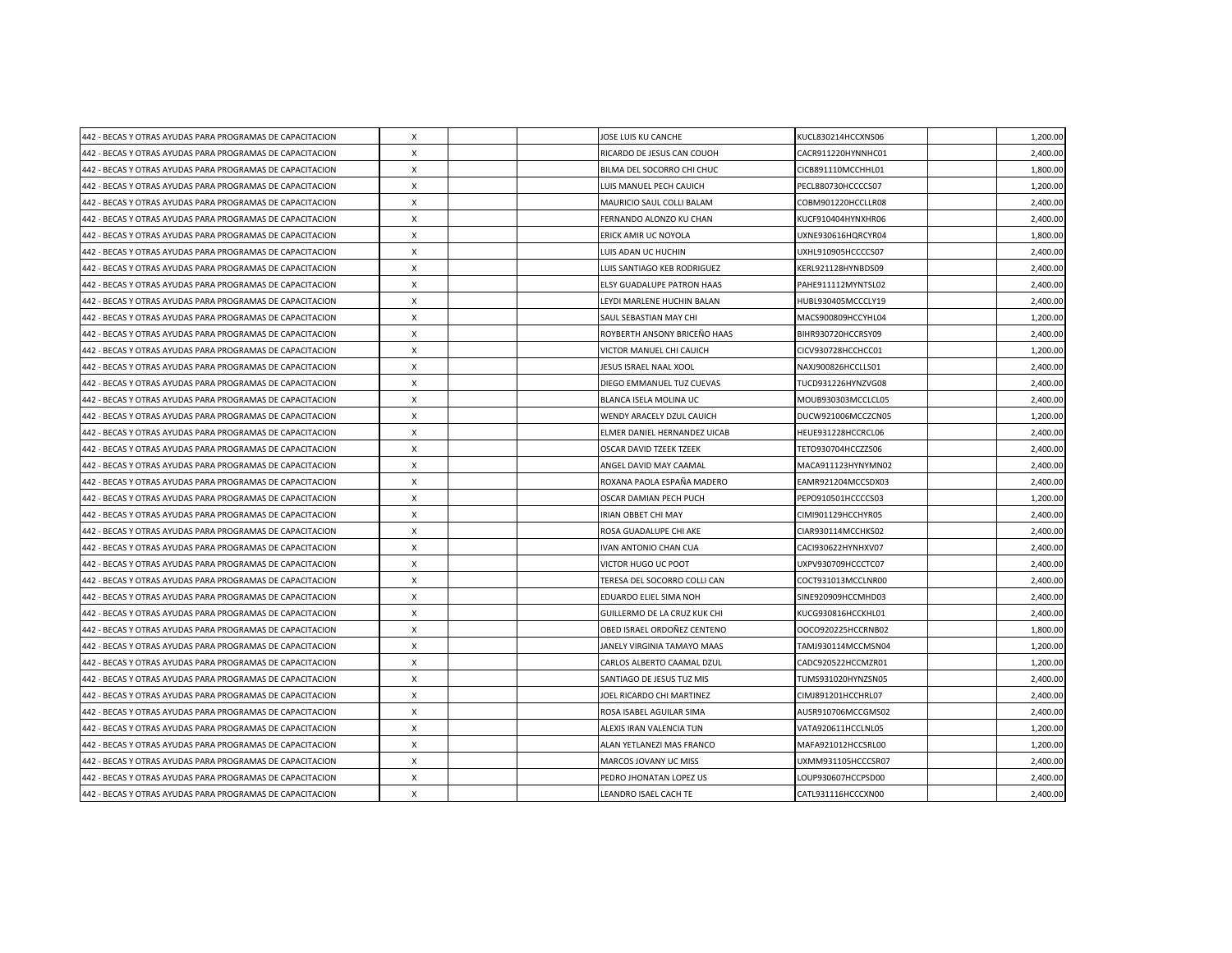| 442 - BECAS Y OTRAS AYUDAS PARA PROGRAMAS DE CAPACITACION | X                         |  | JOSE LUIS KU CANCHE          | KUCL830214HCCXNS06 | 1,200.00 |
|-----------------------------------------------------------|---------------------------|--|------------------------------|--------------------|----------|
| 442 - BECAS Y OTRAS AYUDAS PARA PROGRAMAS DE CAPACITACION | X                         |  | RICARDO DE JESUS CAN COUOH   | CACR911220HYNNHC01 | 2,400.00 |
| 442 - BECAS Y OTRAS AYUDAS PARA PROGRAMAS DE CAPACITACION | X                         |  | BILMA DEL SOCORRO CHI CHUC   | CICB891110MCCHHL01 | 1,800.00 |
| 442 - BECAS Y OTRAS AYUDAS PARA PROGRAMAS DE CAPACITACION | X                         |  | LUIS MANUEL PECH CAUICH      | PECL880730HCCCCS07 | 1,200.00 |
| 442 - BECAS Y OTRAS AYUDAS PARA PROGRAMAS DE CAPACITACION | X                         |  | MAURICIO SAUL COLLI BALAM    | COBM901220HCCLLR08 | 2,400.00 |
| 442 - BECAS Y OTRAS AYUDAS PARA PROGRAMAS DE CAPACITACION | X                         |  | FERNANDO ALONZO KU CHAN      | KUCF910404HYNXHR06 | 2,400.00 |
| 442 - BECAS Y OTRAS AYUDAS PARA PROGRAMAS DE CAPACITACION | X                         |  | ERICK AMIR UC NOYOLA         | UXNE930616HQRCYR04 | 1,800.00 |
| 442 - BECAS Y OTRAS AYUDAS PARA PROGRAMAS DE CAPACITACION | $\times$                  |  | LUIS ADAN UC HUCHIN          | UXHL910905HCCCCS07 | 2,400.00 |
| 442 - BECAS Y OTRAS AYUDAS PARA PROGRAMAS DE CAPACITACION | X                         |  | LUIS SANTIAGO KEB RODRIGUEZ  | KERL921128HYNBDS09 | 2,400.00 |
| 442 - BECAS Y OTRAS AYUDAS PARA PROGRAMAS DE CAPACITACION | X                         |  | ELSY GUADALUPE PATRON HAAS   | PAHE911112MYNTSL02 | 2,400.00 |
| 442 - BECAS Y OTRAS AYUDAS PARA PROGRAMAS DE CAPACITACION | $\times$                  |  | LEYDI MARLENE HUCHIN BALAN   | HUBL930405MCCCLY19 | 2,400.00 |
| 442 - BECAS Y OTRAS AYUDAS PARA PROGRAMAS DE CAPACITACION | X                         |  | SAUL SEBASTIAN MAY CHI       | MACS900809HCCYHL04 | 1,200.00 |
| 442 - BECAS Y OTRAS AYUDAS PARA PROGRAMAS DE CAPACITACION | X                         |  | ROYBERTH ANSONY BRICEÑO HAAS | BIHR930720HCCRSY09 | 2,400.00 |
| 442 - BECAS Y OTRAS AYUDAS PARA PROGRAMAS DE CAPACITACION | $\times$                  |  | VICTOR MANUEL CHI CAUICH     | CICV930728HCCHCC01 | 1,200.00 |
| 442 - BECAS Y OTRAS AYUDAS PARA PROGRAMAS DE CAPACITACION | $\times$                  |  | JESUS ISRAEL NAAL XOOL       | NAXJ900826HCCLLS01 | 2,400.00 |
| 442 - BECAS Y OTRAS AYUDAS PARA PROGRAMAS DE CAPACITACION | X                         |  | DIEGO EMMANUEL TUZ CUEVAS    | TUCD931226HYNZVG08 | 2,400.00 |
| 442 - BECAS Y OTRAS AYUDAS PARA PROGRAMAS DE CAPACITACION | X                         |  | BLANCA ISELA MOLINA UC       | MOUB930303MCCLCL05 | 2,400.00 |
| 442 - BECAS Y OTRAS AYUDAS PARA PROGRAMAS DE CAPACITACION | $\times$                  |  | WENDY ARACELY DZUL CAUICH    | DUCW921006MCCZCN05 | 1,200.00 |
| 442 - BECAS Y OTRAS AYUDAS PARA PROGRAMAS DE CAPACITACION | $\times$                  |  | ELMER DANIEL HERNANDEZ UICAB | HEUE931228HCCRCL06 | 2,400.00 |
| 442 - BECAS Y OTRAS AYUDAS PARA PROGRAMAS DE CAPACITACION | X                         |  | OSCAR DAVID TZEEK TZEEK      | TETO930704HCCZZS06 | 2,400.00 |
| 442 - BECAS Y OTRAS AYUDAS PARA PROGRAMAS DE CAPACITACION | X                         |  | ANGEL DAVID MAY CAAMAL       | MACA911123HYNYMN02 | 2,400.00 |
| 442 - BECAS Y OTRAS AYUDAS PARA PROGRAMAS DE CAPACITACION | X                         |  | ROXANA PAOLA ESPAÑA MADERO   | EAMR921204MCCSDX03 | 2,400.00 |
| 442 - BECAS Y OTRAS AYUDAS PARA PROGRAMAS DE CAPACITACION | X                         |  | OSCAR DAMIAN PECH PUCH       | PEPO910501HCCCCS03 | 1,200.00 |
| 442 - BECAS Y OTRAS AYUDAS PARA PROGRAMAS DE CAPACITACION | $\times$                  |  | IRIAN OBBET CHI MAY          | CIMI901129HCCHYR05 | 2,400.00 |
| 442 - BECAS Y OTRAS AYUDAS PARA PROGRAMAS DE CAPACITACION | $\times$                  |  | ROSA GUADALUPE CHI AKE       | CIAR930114MCCHKS02 | 2,400.00 |
| 442 - BECAS Y OTRAS AYUDAS PARA PROGRAMAS DE CAPACITACION | $\times$                  |  | IVAN ANTONIO CHAN CUA        | CACI930622HYNHXV07 | 2,400.00 |
| 442 - BECAS Y OTRAS AYUDAS PARA PROGRAMAS DE CAPACITACION | X                         |  | VICTOR HUGO UC POOT          | UXPV930709HCCCTC07 | 2,400.00 |
| 442 - BECAS Y OTRAS AYUDAS PARA PROGRAMAS DE CAPACITACION | $\times$                  |  | TERESA DEL SOCORRO COLLI CAN | COCT931013MCCLNR00 | 2,400.00 |
| 442 - BECAS Y OTRAS AYUDAS PARA PROGRAMAS DE CAPACITACION | $\times$                  |  | EDUARDO ELIEL SIMA NOH       | SINE920909HCCMHD03 | 2,400.00 |
| 442 - BECAS Y OTRAS AYUDAS PARA PROGRAMAS DE CAPACITACION | $\times$                  |  | GUILLERMO DE LA CRUZ KUK CHI | KUCG930816HCCKHL01 | 2,400.00 |
| 442 - BECAS Y OTRAS AYUDAS PARA PROGRAMAS DE CAPACITACION | $\times$                  |  | OBED ISRAEL ORDOÑEZ CENTENO  | OOCO920225HCCRNB02 | 1,800.00 |
| 442 - BECAS Y OTRAS AYUDAS PARA PROGRAMAS DE CAPACITACION | X                         |  | JANELY VIRGINIA TAMAYO MAAS  | TAMJ930114MCCMSN04 | 1,200.00 |
| 442 - BECAS Y OTRAS AYUDAS PARA PROGRAMAS DE CAPACITACION | X                         |  | CARLOS ALBERTO CAAMAL DZUL   | CADC920522HCCMZR01 | 1,200.00 |
| 442 - BECAS Y OTRAS AYUDAS PARA PROGRAMAS DE CAPACITACION | X                         |  | SANTIAGO DE JESUS TUZ MIS    | TUMS931020HYNZSN05 | 2,400.00 |
| 442 - BECAS Y OTRAS AYUDAS PARA PROGRAMAS DE CAPACITACION | X                         |  | JOEL RICARDO CHI MARTINEZ    | CIMJ891201HCCHRL07 | 2,400.00 |
| 442 - BECAS Y OTRAS AYUDAS PARA PROGRAMAS DE CAPACITACION | $\times$                  |  | ROSA ISABEL AGUILAR SIMA     | AUSR910706MCCGMS02 | 2,400.00 |
| 442 - BECAS Y OTRAS AYUDAS PARA PROGRAMAS DE CAPACITACION | X                         |  | ALEXIS IRAN VALENCIA TUN     | VATA920611HCCLNL05 | 1,200.00 |
| 442 - BECAS Y OTRAS AYUDAS PARA PROGRAMAS DE CAPACITACION | X                         |  | ALAN YETLANEZI MAS FRANCO    | MAFA921012HCCSRL00 | 1,200.00 |
| 442 - BECAS Y OTRAS AYUDAS PARA PROGRAMAS DE CAPACITACION | X                         |  | MARCOS JOVANY UC MISS        | UXMM931105HCCCSR07 | 2,400.00 |
| 442 - BECAS Y OTRAS AYUDAS PARA PROGRAMAS DE CAPACITACION | X                         |  | PEDRO JHONATAN LOPEZ US      | LOUP930607HCCPSD00 | 2,400.00 |
| 442 - BECAS Y OTRAS AYUDAS PARA PROGRAMAS DE CAPACITACION | $\boldsymbol{\mathsf{x}}$ |  | LEANDRO ISAEL CACH TE        | CATL931116HCCCXN00 | 2,400.00 |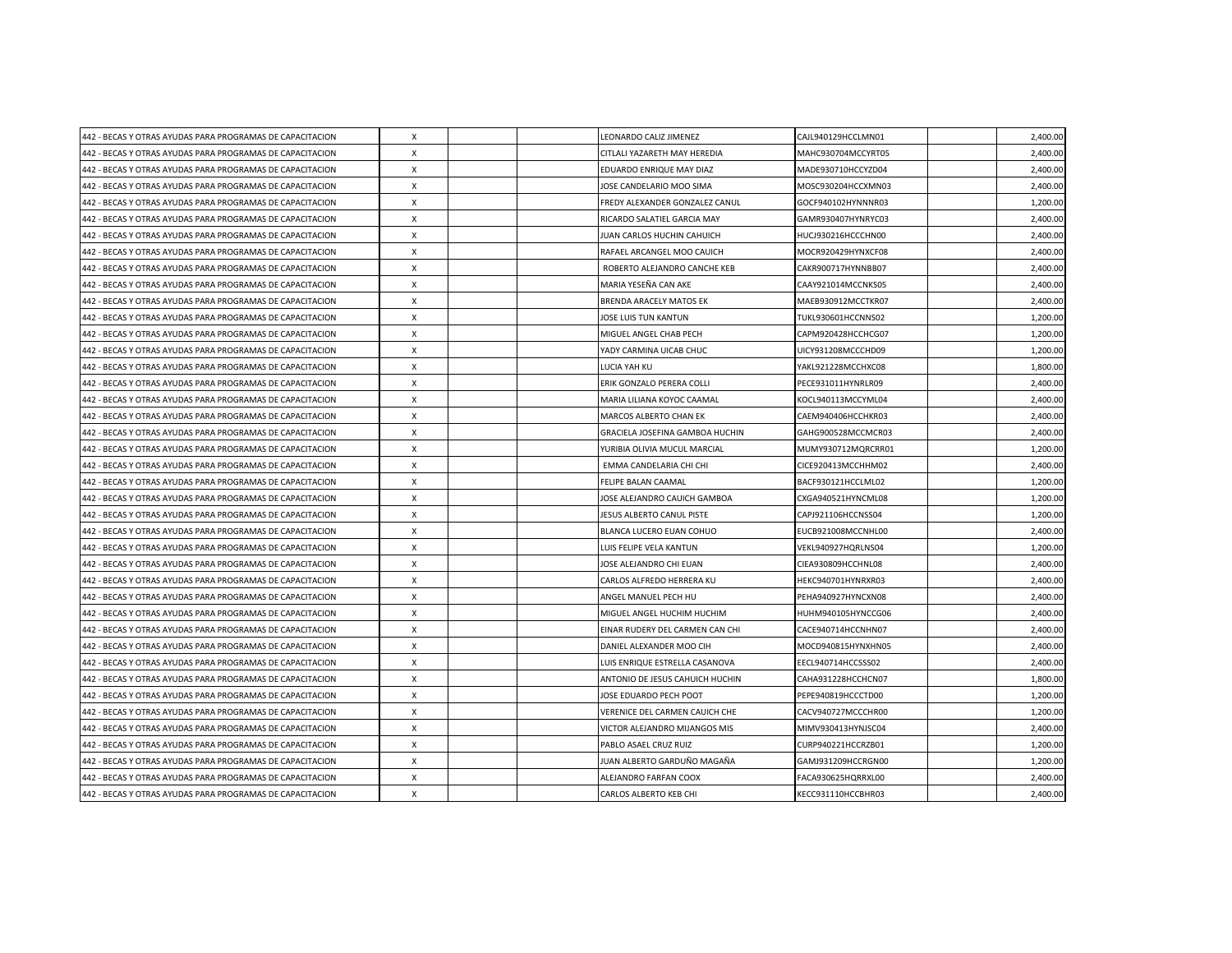| 442 - BECAS Y OTRAS AYUDAS PARA PROGRAMAS DE CAPACITACION | $\boldsymbol{\mathsf{X}}$ |  | LEONARDO CALIZ JIMENEZ          | CAJL940129HCCLMN01 | 2,400.00 |
|-----------------------------------------------------------|---------------------------|--|---------------------------------|--------------------|----------|
| 442 - BECAS Y OTRAS AYUDAS PARA PROGRAMAS DE CAPACITACION | X                         |  | CITLALI YAZARETH MAY HEREDIA    | MAHC930704MCCYRT05 | 2,400.00 |
| 442 - BECAS Y OTRAS AYUDAS PARA PROGRAMAS DE CAPACITACION | $\boldsymbol{\mathsf{X}}$ |  | EDUARDO ENRIQUE MAY DIAZ        | MADE930710HCCYZD04 | 2,400.00 |
| 442 - BECAS Y OTRAS AYUDAS PARA PROGRAMAS DE CAPACITACION | $\boldsymbol{\mathsf{X}}$ |  | JOSE CANDELARIO MOO SIMA        | MOSC930204HCCXMN03 | 2,400.00 |
| 442 - BECAS Y OTRAS AYUDAS PARA PROGRAMAS DE CAPACITACION | X                         |  | FREDY ALEXANDER GONZALEZ CANUL  | GOCF940102HYNNNR03 | 1,200.00 |
| 442 - BECAS Y OTRAS AYUDAS PARA PROGRAMAS DE CAPACITACION | $\boldsymbol{\mathsf{X}}$ |  | RICARDO SALATIEL GARCIA MAY     | GAMR930407HYNRYC03 | 2,400.00 |
| 442 - BECAS Y OTRAS AYUDAS PARA PROGRAMAS DE CAPACITACION | $\boldsymbol{\mathsf{X}}$ |  | JUAN CARLOS HUCHIN CAHUICH      | HUCJ930216HCCCHN00 | 2,400.00 |
| 442 - BECAS Y OTRAS AYUDAS PARA PROGRAMAS DE CAPACITACION | X                         |  | RAFAEL ARCANGEL MOO CAUICH      | MOCR920429HYNXCF08 | 2,400.00 |
| 442 - BECAS Y OTRAS AYUDAS PARA PROGRAMAS DE CAPACITACION | $\boldsymbol{\mathsf{X}}$ |  | ROBERTO ALEJANDRO CANCHE KEB    | CAKR900717HYNNBB07 | 2,400.00 |
| 442 - BECAS Y OTRAS AYUDAS PARA PROGRAMAS DE CAPACITACION | $\boldsymbol{\mathsf{X}}$ |  | MARIA YESEÑA CAN AKE            | CAAY921014MCCNKS05 | 2,400.00 |
| 442 - BECAS Y OTRAS AYUDAS PARA PROGRAMAS DE CAPACITACION | $\mathsf{x}$              |  | <b>BRENDA ARACELY MATOS EK</b>  | MAEB930912MCCTKR07 | 2,400.00 |
| 442 - BECAS Y OTRAS AYUDAS PARA PROGRAMAS DE CAPACITACION | $\boldsymbol{\mathsf{x}}$ |  | JOSE LUIS TUN KANTUN            | TUKL930601HCCNNS02 | 1,200.00 |
| 442 - BECAS Y OTRAS AYUDAS PARA PROGRAMAS DE CAPACITACION | X                         |  | MIGUEL ANGEL CHAB PECH          | CAPM920428HCCHCG07 | 1,200.00 |
| 442 - BECAS Y OTRAS AYUDAS PARA PROGRAMAS DE CAPACITACION | X                         |  | YADY CARMINA UICAB CHUC         | UICY931208MCCCHD09 | 1,200.00 |
| 442 - BECAS Y OTRAS AYUDAS PARA PROGRAMAS DE CAPACITACION | $\times$                  |  | LUCIA YAH KU                    | YAKL921228MCCHXC08 | 1,800.00 |
| 442 - BECAS Y OTRAS AYUDAS PARA PROGRAMAS DE CAPACITACION | $\pmb{\chi}$              |  | ERIK GONZALO PERERA COLLI       | PECE931011HYNRLR09 | 2,400.00 |
| 442 - BECAS Y OTRAS AYUDAS PARA PROGRAMAS DE CAPACITACION | $\boldsymbol{\mathsf{X}}$ |  | MARIA LILIANA KOYOC CAAMAL      | KOCL940113MCCYML04 | 2,400.00 |
| 442 - BECAS Y OTRAS AYUDAS PARA PROGRAMAS DE CAPACITACION | $\times$                  |  | MARCOS ALBERTO CHAN EK          | CAEM940406HCCHKR03 | 2,400.00 |
| 442 - BECAS Y OTRAS AYUDAS PARA PROGRAMAS DE CAPACITACION | $\times$                  |  | GRACIELA JOSEFINA GAMBOA HUCHIN | GAHG900528MCCMCR03 | 2,400.00 |
| 442 - BECAS Y OTRAS AYUDAS PARA PROGRAMAS DE CAPACITACION | X                         |  | YURIBIA OLIVIA MUCUL MARCIAL    | MUMY930712MQRCRR01 | 1,200.00 |
| 442 - BECAS Y OTRAS AYUDAS PARA PROGRAMAS DE CAPACITACION | X                         |  | EMMA CANDELARIA CHI CHI         | CICE920413MCCHHM02 | 2,400.00 |
| 442 - BECAS Y OTRAS AYUDAS PARA PROGRAMAS DE CAPACITACION | X                         |  | FELIPE BALAN CAAMAL             | BACF930121HCCLML02 | 1,200.00 |
| 442 - BECAS Y OTRAS AYUDAS PARA PROGRAMAS DE CAPACITACION | $\boldsymbol{\mathsf{X}}$ |  | JOSE ALEJANDRO CAUICH GAMBOA    | CXGA940521HYNCML08 | 1,200.00 |
| 442 - BECAS Y OTRAS AYUDAS PARA PROGRAMAS DE CAPACITACION | $\times$                  |  | JESUS ALBERTO CANUL PISTE       | CAPJ921106HCCNSS04 | 1,200.00 |
| 442 - BECAS Y OTRAS AYUDAS PARA PROGRAMAS DE CAPACITACION | X                         |  | BLANCA LUCERO EUAN COHUO        | EUCB921008MCCNHL00 | 2,400.00 |
| 442 - BECAS Y OTRAS AYUDAS PARA PROGRAMAS DE CAPACITACION | $\times$                  |  | LUIS FELIPE VELA KANTUN         | VEKL940927HORLNS04 | 1,200.00 |
| 442 - BECAS Y OTRAS AYUDAS PARA PROGRAMAS DE CAPACITACION | $\boldsymbol{\mathsf{X}}$ |  | JOSE ALEJANDRO CHI EUAN         | CIEA930809HCCHNL08 | 2,400.00 |
| 442 - BECAS Y OTRAS AYUDAS PARA PROGRAMAS DE CAPACITACION | $\times$                  |  | CARLOS ALFREDO HERRERA KU       | HEKC940701HYNRXR03 | 2,400.00 |
| 442 - BECAS Y OTRAS AYUDAS PARA PROGRAMAS DE CAPACITACION | $\times$                  |  | ANGEL MANUEL PECH HU            | PEHA940927HYNCXN08 | 2,400.00 |
| 442 - BECAS Y OTRAS AYUDAS PARA PROGRAMAS DE CAPACITACION | X                         |  | MIGUEL ANGEL HUCHIM HUCHIM      | HUHM940105HYNCCG06 | 2,400.00 |
| 442 - BECAS Y OTRAS AYUDAS PARA PROGRAMAS DE CAPACITACION | $\times$                  |  | EINAR RUDERY DEL CARMEN CAN CHI | CACE940714HCCNHN07 | 2,400.00 |
| 442 - BECAS Y OTRAS AYUDAS PARA PROGRAMAS DE CAPACITACION | X                         |  | DANIEL ALEXANDER MOO CIH        | MOCD940815HYNXHN05 | 2,400.00 |
| 442 - BECAS Y OTRAS AYUDAS PARA PROGRAMAS DE CAPACITACION | $\boldsymbol{\mathsf{X}}$ |  | LUIS ENRIQUE ESTRELLA CASANOVA  | EECL940714HCCSSS02 | 2,400.00 |
| 442 - BECAS Y OTRAS AYUDAS PARA PROGRAMAS DE CAPACITACION | X                         |  | ANTONIO DE JESUS CAHUICH HUCHIN | CAHA931228HCCHCN07 | 1,800.00 |
| 442 - BECAS Y OTRAS AYUDAS PARA PROGRAMAS DE CAPACITACION | X                         |  | JOSE EDUARDO PECH POOT          | PEPE940819HCCCTD00 | 1,200.00 |
| 442 - BECAS Y OTRAS AYUDAS PARA PROGRAMAS DE CAPACITACION | X                         |  | VERENICE DEL CARMEN CAUICH CHE  | CACV940727MCCCHR00 | 1,200.00 |
| 442 - BECAS Y OTRAS AYUDAS PARA PROGRAMAS DE CAPACITACION | X                         |  | VICTOR ALEJANDRO MIJANGOS MIS   | MIMV930413HYNJSC04 | 2,400.00 |
| 442 - BECAS Y OTRAS AYUDAS PARA PROGRAMAS DE CAPACITACION | $\boldsymbol{\mathsf{X}}$ |  | PABLO ASAEL CRUZ RUIZ           | CURP940221HCCRZB01 | 1,200.00 |
| 442 - BECAS Y OTRAS AYUDAS PARA PROGRAMAS DE CAPACITACION | $\boldsymbol{\mathsf{X}}$ |  | JUAN ALBERTO GARDUÑO MAGAÑA     | GAMJ931209HCCRGN00 | 1,200.00 |
| 442 - BECAS Y OTRAS AYUDAS PARA PROGRAMAS DE CAPACITACION | X                         |  | ALEJANDRO FARFAN COOX           | FACA930625HQRRXL00 | 2,400.00 |
| 442 - BECAS Y OTRAS AYUDAS PARA PROGRAMAS DE CAPACITACION | $\pmb{\times}$            |  | CARLOS ALBERTO KEB CHI          | KECC931110HCCBHR03 | 2,400.00 |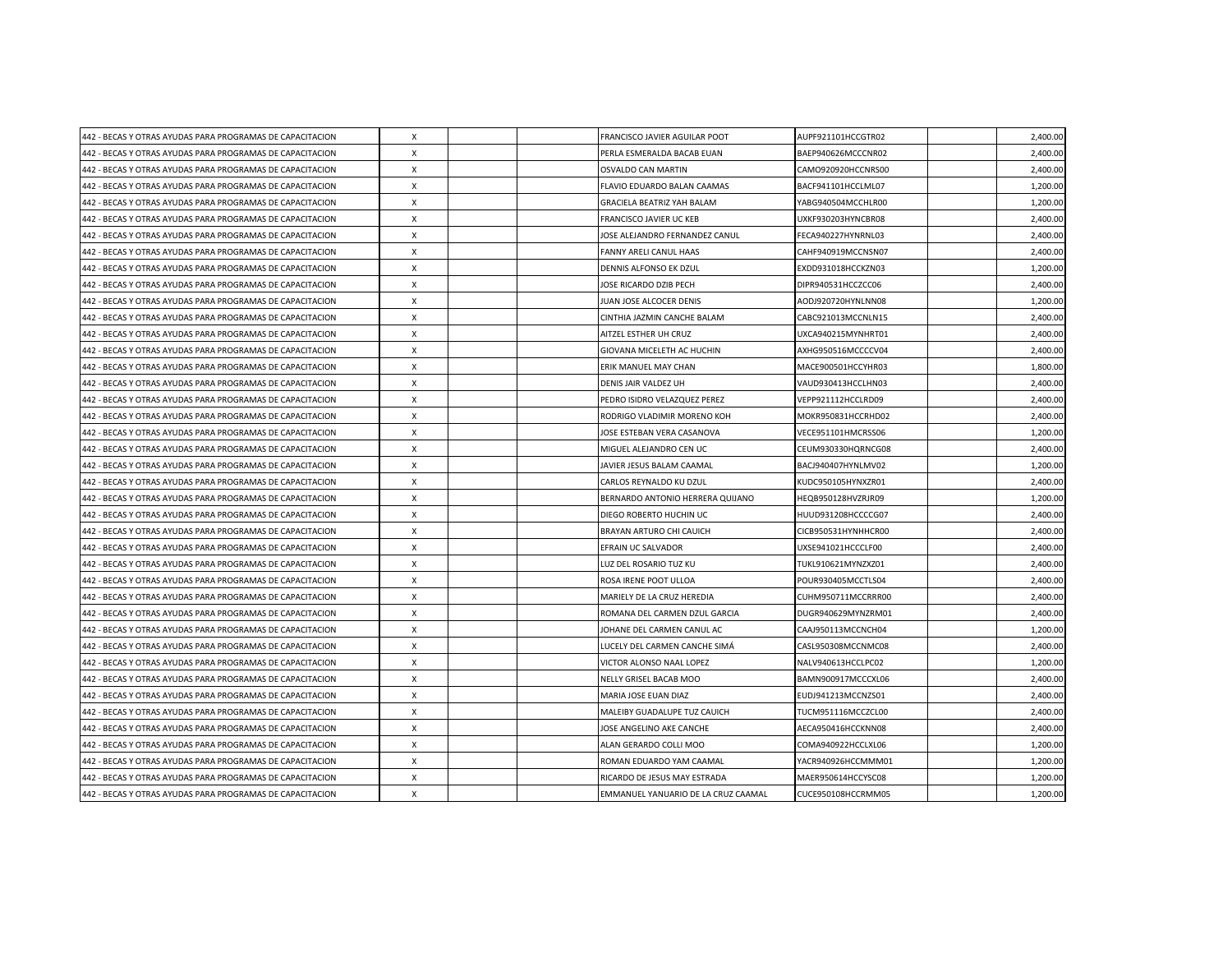| 442 - BECAS Y OTRAS AYUDAS PARA PROGRAMAS DE CAPACITACION | $\boldsymbol{\mathsf{X}}$ |  | FRANCISCO JAVIER AGUILAR POOT       | AUPF921101HCCGTR02  | 2,400.00 |
|-----------------------------------------------------------|---------------------------|--|-------------------------------------|---------------------|----------|
| 442 - BECAS Y OTRAS AYUDAS PARA PROGRAMAS DE CAPACITACION | X                         |  | PERLA ESMERALDA BACAB EUAN          | BAEP940626MCCCNR02  | 2,400.00 |
| 442 - BECAS Y OTRAS AYUDAS PARA PROGRAMAS DE CAPACITACION | $\boldsymbol{\mathsf{X}}$ |  | <b>OSVALDO CAN MARTIN</b>           | CAMO920920HCCNRS00  | 2,400.00 |
| 442 - BECAS Y OTRAS AYUDAS PARA PROGRAMAS DE CAPACITACION | $\boldsymbol{\mathsf{X}}$ |  | FLAVIO EDUARDO BALAN CAAMAS         | BACF941101HCCLML07  | 1,200.00 |
| 442 - BECAS Y OTRAS AYUDAS PARA PROGRAMAS DE CAPACITACION | X                         |  | GRACIELA BEATRIZ YAH BALAM          | YABG940504MCCHLR00  | 1,200.00 |
| 442 - BECAS Y OTRAS AYUDAS PARA PROGRAMAS DE CAPACITACION | $\boldsymbol{\mathsf{X}}$ |  | FRANCISCO JAVIER UC KEB             | UXKF930203HYNCBR08  | 2,400.00 |
| 442 - BECAS Y OTRAS AYUDAS PARA PROGRAMAS DE CAPACITACION | X                         |  | JOSE ALEJANDRO FERNANDEZ CANUL      | FECA940227HYNRNL03  | 2,400.00 |
| 442 - BECAS Y OTRAS AYUDAS PARA PROGRAMAS DE CAPACITACION | X                         |  | FANNY ARELI CANUL HAAS              | CAHF940919MCCNSN07  | 2,400.00 |
| 442 - BECAS Y OTRAS AYUDAS PARA PROGRAMAS DE CAPACITACION | $\boldsymbol{\mathsf{X}}$ |  | DENNIS ALFONSO EK DZUL              | EXDD931018HCCKZN03  | 1,200.00 |
| 442 - BECAS Y OTRAS AYUDAS PARA PROGRAMAS DE CAPACITACION | $\boldsymbol{\mathsf{X}}$ |  | JOSE RICARDO DZIB PECH              | DIPR940531HCCZCC06  | 2,400.00 |
| 442 - BECAS Y OTRAS AYUDAS PARA PROGRAMAS DE CAPACITACION | $\mathsf{x}$              |  | JUAN JOSE ALCOCER DENIS             | AODJ920720HYNLNN08  | 1,200.00 |
| 442 - BECAS Y OTRAS AYUDAS PARA PROGRAMAS DE CAPACITACION | $\boldsymbol{\mathsf{x}}$ |  | CINTHIA JAZMIN CANCHE BALAM         | CABC921013MCCNLN15  | 2,400.00 |
| 442 - BECAS Y OTRAS AYUDAS PARA PROGRAMAS DE CAPACITACION | X                         |  | AITZEL ESTHER UH CRUZ               | UXCA940215MYNHRT01  | 2,400.00 |
| 442 - BECAS Y OTRAS AYUDAS PARA PROGRAMAS DE CAPACITACION | $\boldsymbol{\mathsf{X}}$ |  | GIOVANA MICELETH AC HUCHIN          | AXHG950516MCCCCV04  | 2,400.00 |
| 442 - BECAS Y OTRAS AYUDAS PARA PROGRAMAS DE CAPACITACION | $\times$                  |  | ERIK MANUEL MAY CHAN                | MACE900501HCCYHR03  | 1,800.00 |
| 442 - BECAS Y OTRAS AYUDAS PARA PROGRAMAS DE CAPACITACION | $\pmb{\chi}$              |  | DENIS JAIR VALDEZ UH                | VAUD930413HCCLHN03  | 2,400.00 |
| 442 - BECAS Y OTRAS AYUDAS PARA PROGRAMAS DE CAPACITACION | $\boldsymbol{\mathsf{X}}$ |  | PEDRO ISIDRO VELAZQUEZ PEREZ        | VEPP921112HCCLRD09  | 2,400.00 |
| 442 - BECAS Y OTRAS AYUDAS PARA PROGRAMAS DE CAPACITACION | $\times$                  |  | RODRIGO VLADIMIR MORENO KOH         | MOKR950831HCCRHD02  | 2,400.00 |
| 442 - BECAS Y OTRAS AYUDAS PARA PROGRAMAS DE CAPACITACION | $\times$                  |  | JOSE ESTEBAN VERA CASANOVA          | VECE951101HMCRSS06  | 1,200.00 |
| 442 - BECAS Y OTRAS AYUDAS PARA PROGRAMAS DE CAPACITACION | X                         |  | MIGUEL ALEJANDRO CEN UC             | CEUM930330HQRNCG08  | 2,400.00 |
| 442 - BECAS Y OTRAS AYUDAS PARA PROGRAMAS DE CAPACITACION | X                         |  | JAVIER JESUS BALAM CAAMAL           | BACJ940407HYNLMV02  | 1,200.00 |
| 442 - BECAS Y OTRAS AYUDAS PARA PROGRAMAS DE CAPACITACION | X                         |  | CARLOS REYNALDO KU DZUL             | KUDC950105HYNXZR01  | 2,400.00 |
| 442 - BECAS Y OTRAS AYUDAS PARA PROGRAMAS DE CAPACITACION | X                         |  | BERNARDO ANTONIO HERRERA QUIJANO    | HEQB950128HVZRJR09  | 1,200.00 |
| 442 - BECAS Y OTRAS AYUDAS PARA PROGRAMAS DE CAPACITACION | $\times$                  |  | DIEGO ROBERTO HUCHIN UC             | HUUD931208HCCCCG07  | 2,400.00 |
| 442 - BECAS Y OTRAS AYUDAS PARA PROGRAMAS DE CAPACITACION | X                         |  | <b>BRAYAN ARTURO CHI CAUICH</b>     | CICB950531HYNHHCR00 | 2,400.00 |
| 442 - BECAS Y OTRAS AYUDAS PARA PROGRAMAS DE CAPACITACION | $\times$                  |  | EFRAIN UC SALVADOR                  | UXSE941021HCCCLF00  | 2,400.00 |
| 442 - BECAS Y OTRAS AYUDAS PARA PROGRAMAS DE CAPACITACION | $\boldsymbol{\mathsf{X}}$ |  | LUZ DEL ROSARIO TUZ KU              | TUKL910621MYNZXZ01  | 2,400.00 |
| 442 - BECAS Y OTRAS AYUDAS PARA PROGRAMAS DE CAPACITACION | $\times$                  |  | ROSA IRENE POOT ULLOA               | POUR930405MCCTLS04  | 2,400.00 |
| 442 - BECAS Y OTRAS AYUDAS PARA PROGRAMAS DE CAPACITACION | $\times$                  |  | MARIELY DE LA CRUZ HEREDIA          | CUHM950711MCCRRR00  | 2,400.00 |
| 442 - BECAS Y OTRAS AYUDAS PARA PROGRAMAS DE CAPACITACION | X                         |  | ROMANA DEL CARMEN DZUL GARCIA       | DUGR940629MYNZRM01  | 2,400.00 |
| 442 - BECAS Y OTRAS AYUDAS PARA PROGRAMAS DE CAPACITACION | $\times$                  |  | JOHANE DEL CARMEN CANUL AC          | CAAJ950113MCCNCH04  | 1,200.00 |
| 442 - BECAS Y OTRAS AYUDAS PARA PROGRAMAS DE CAPACITACION | X                         |  | LUCELY DEL CARMEN CANCHE SIMÁ       | CASL950308MCCNMC08  | 2,400.00 |
| 442 - BECAS Y OTRAS AYUDAS PARA PROGRAMAS DE CAPACITACION | $\boldsymbol{\mathsf{X}}$ |  | VICTOR ALONSO NAAL LOPEZ            | NALV940613HCCLPC02  | 1,200.00 |
| 442 - BECAS Y OTRAS AYUDAS PARA PROGRAMAS DE CAPACITACION | X                         |  | NELLY GRISEL BACAB MOO              | BAMN900917MCCCXL06  | 2,400.00 |
| 442 - BECAS Y OTRAS AYUDAS PARA PROGRAMAS DE CAPACITACION | X                         |  | MARIA JOSE EUAN DIAZ                | EUDJ941213MCCNZS01  | 2,400.00 |
| 442 - BECAS Y OTRAS AYUDAS PARA PROGRAMAS DE CAPACITACION | X                         |  | MALEIBY GUADALUPE TUZ CAUICH        | TUCM951116MCCZCL00  | 2,400.00 |
| 442 - BECAS Y OTRAS AYUDAS PARA PROGRAMAS DE CAPACITACION | X                         |  | JOSE ANGELINO AKE CANCHE            | AECA950416HCCKNN08  | 2,400.00 |
| 442 - BECAS Y OTRAS AYUDAS PARA PROGRAMAS DE CAPACITACION | $\boldsymbol{\mathsf{X}}$ |  | ALAN GERARDO COLLI MOO              | COMA940922HCCLXL06  | 1,200.00 |
| 442 - BECAS Y OTRAS AYUDAS PARA PROGRAMAS DE CAPACITACION | $\boldsymbol{\mathsf{X}}$ |  | ROMAN EDUARDO YAM CAAMAL            | YACR940926HCCMMM01  | 1,200.00 |
| 442 - BECAS Y OTRAS AYUDAS PARA PROGRAMAS DE CAPACITACION | X                         |  | RICARDO DE JESUS MAY ESTRADA        | MAER950614HCCYSC08  | 1,200.00 |
| 442 - BECAS Y OTRAS AYUDAS PARA PROGRAMAS DE CAPACITACION | $\pmb{\times}$            |  | EMMANUEL YANUARIO DE LA CRUZ CAAMAL | CUCE950108HCCRMM05  | 1,200.00 |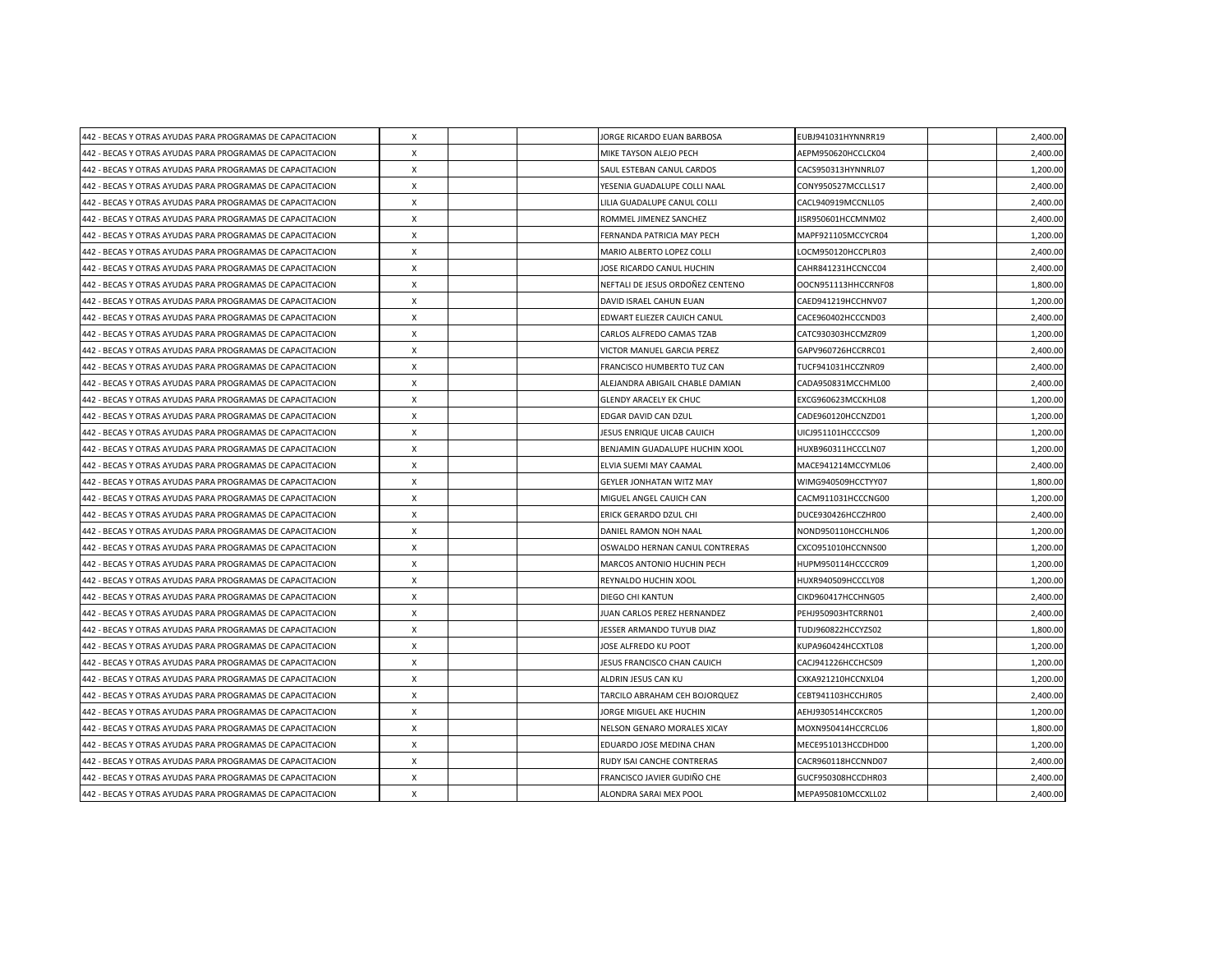| 442 - BECAS Y OTRAS AYUDAS PARA PROGRAMAS DE CAPACITACION | $\boldsymbol{\mathsf{X}}$ |  | JORGE RICARDO EUAN BARBOSA       | EUBJ941031HYNNRR19  | 2,400.00 |
|-----------------------------------------------------------|---------------------------|--|----------------------------------|---------------------|----------|
| 442 - BECAS Y OTRAS AYUDAS PARA PROGRAMAS DE CAPACITACION | X                         |  | MIKE TAYSON ALEJO PECH           | AEPM950620HCCLCK04  | 2,400.00 |
| 442 - BECAS Y OTRAS AYUDAS PARA PROGRAMAS DE CAPACITACION | $\boldsymbol{\mathsf{X}}$ |  | SAUL ESTEBAN CANUL CARDOS        | CACS950313HYNNRL07  | 1,200.00 |
| 442 - BECAS Y OTRAS AYUDAS PARA PROGRAMAS DE CAPACITACION | $\boldsymbol{\mathsf{X}}$ |  | YESENIA GUADALUPE COLLI NAAL     | CONY950527MCCLLS17  | 2,400.00 |
| 442 - BECAS Y OTRAS AYUDAS PARA PROGRAMAS DE CAPACITACION | X                         |  | LILIA GUADALUPE CANUL COLLI      | CACL940919MCCNLL05  | 2,400.00 |
| 442 - BECAS Y OTRAS AYUDAS PARA PROGRAMAS DE CAPACITACION | $\boldsymbol{\mathsf{X}}$ |  | ROMMEL JIMENEZ SANCHEZ           | JISR950601HCCMNM02  | 2,400.00 |
| 442 - BECAS Y OTRAS AYUDAS PARA PROGRAMAS DE CAPACITACION | X                         |  | FERNANDA PATRICIA MAY PECH       | MAPF921105MCCYCR04  | 1,200.00 |
| 442 - BECAS Y OTRAS AYUDAS PARA PROGRAMAS DE CAPACITACION | X                         |  | MARIO ALBERTO LOPEZ COLLI        | LOCM950120HCCPLR03  | 2,400.00 |
| 442 - BECAS Y OTRAS AYUDAS PARA PROGRAMAS DE CAPACITACION | $\boldsymbol{\mathsf{X}}$ |  | JOSE RICARDO CANUL HUCHIN        | CAHR841231HCCNCC04  | 2,400.00 |
| 442 - BECAS Y OTRAS AYUDAS PARA PROGRAMAS DE CAPACITACION | $\boldsymbol{\mathsf{X}}$ |  | NEFTALI DE JESUS ORDOÑEZ CENTENO | OOCN951113HHCCRNF08 | 1,800.00 |
| 442 - BECAS Y OTRAS AYUDAS PARA PROGRAMAS DE CAPACITACION | $\mathsf{x}$              |  | DAVID ISRAEL CAHUN EUAN          | CAED941219HCCHNV07  | 1,200.00 |
| 442 - BECAS Y OTRAS AYUDAS PARA PROGRAMAS DE CAPACITACION | $\boldsymbol{\mathsf{x}}$ |  | EDWART ELIEZER CAUICH CANUL      | CACE960402HCCCND03  | 2,400.00 |
| 442 - BECAS Y OTRAS AYUDAS PARA PROGRAMAS DE CAPACITACION | X                         |  | CARLOS ALFREDO CAMAS TZAB        | CATC930303HCCMZR09  | 1,200.00 |
| 442 - BECAS Y OTRAS AYUDAS PARA PROGRAMAS DE CAPACITACION | X                         |  | VICTOR MANUEL GARCIA PEREZ       | GAPV960726HCCRRC01  | 2,400.00 |
| 442 - BECAS Y OTRAS AYUDAS PARA PROGRAMAS DE CAPACITACION | $\times$                  |  | FRANCISCO HUMBERTO TUZ CAN       | TUCF941031HCCZNR09  | 2,400.00 |
| 442 - BECAS Y OTRAS AYUDAS PARA PROGRAMAS DE CAPACITACION | $\pmb{\chi}$              |  | ALEJANDRA ABIGAIL CHABLE DAMIAN  | CADA950831MCCHML00  | 2,400.00 |
| 442 - BECAS Y OTRAS AYUDAS PARA PROGRAMAS DE CAPACITACION | $\boldsymbol{\mathsf{X}}$ |  | <b>GLENDY ARACELY EK CHUC</b>    | EXCG960623MCCKHL08  | 1,200.00 |
| 442 - BECAS Y OTRAS AYUDAS PARA PROGRAMAS DE CAPACITACION | $\times$                  |  | EDGAR DAVID CAN DZUL             | CADE960120HCCNZD01  | 1,200.00 |
| 442 - BECAS Y OTRAS AYUDAS PARA PROGRAMAS DE CAPACITACION | $\times$                  |  | JESUS ENRIQUE UICAB CAUICH       | UICJ951101HCCCCS09  | 1,200.00 |
| 442 - BECAS Y OTRAS AYUDAS PARA PROGRAMAS DE CAPACITACION | X                         |  | BENJAMIN GUADALUPE HUCHIN XOOL   | HUXB960311HCCCLN07  | 1,200.00 |
| 442 - BECAS Y OTRAS AYUDAS PARA PROGRAMAS DE CAPACITACION | X                         |  | ELVIA SUEMI MAY CAAMAL           | MACE941214MCCYML06  | 2,400.00 |
| 442 - BECAS Y OTRAS AYUDAS PARA PROGRAMAS DE CAPACITACION | X                         |  | <b>GEYLER JONHATAN WITZ MAY</b>  | WIMG940509HCCTYY07  | 1,800.00 |
| 442 - BECAS Y OTRAS AYUDAS PARA PROGRAMAS DE CAPACITACION | X                         |  | MIGUEL ANGEL CAUICH CAN          | CACM911031HCCCNG00  | 1,200.00 |
| 442 - BECAS Y OTRAS AYUDAS PARA PROGRAMAS DE CAPACITACION | $\times$                  |  | ERICK GERARDO DZUL CHI           | DUCE930426HCCZHR00  | 2,400.00 |
| 442 - BECAS Y OTRAS AYUDAS PARA PROGRAMAS DE CAPACITACION | X                         |  | DANIEL RAMON NOH NAAL            | NOND950110HCCHLN06  | 1.200.00 |
| 442 - BECAS Y OTRAS AYUDAS PARA PROGRAMAS DE CAPACITACION | $\times$                  |  | OSWALDO HERNAN CANUL CONTRERAS   | CXCO951010HCCNNS00  | 1,200.00 |
| 442 - BECAS Y OTRAS AYUDAS PARA PROGRAMAS DE CAPACITACION | $\boldsymbol{\mathsf{X}}$ |  | MARCOS ANTONIO HUCHIN PECH       | HUPM950114HCCCCR09  | 1,200.00 |
| 442 - BECAS Y OTRAS AYUDAS PARA PROGRAMAS DE CAPACITACION | $\times$                  |  | REYNALDO HUCHIN XOOL             | HUXR940509HCCCLY08  | 1,200.00 |
| 442 - BECAS Y OTRAS AYUDAS PARA PROGRAMAS DE CAPACITACION | $\times$                  |  | <b>DIEGO CHI KANTUN</b>          | CIKD960417HCCHNG05  | 2,400.00 |
| 442 - BECAS Y OTRAS AYUDAS PARA PROGRAMAS DE CAPACITACION | X                         |  | JUAN CARLOS PEREZ HERNANDEZ      | PEHJ950903HTCRRN01  | 2,400.00 |
| 442 - BECAS Y OTRAS AYUDAS PARA PROGRAMAS DE CAPACITACION | $\times$                  |  | JESSER ARMANDO TUYUB DIAZ        | TUDJ960822HCCYZS02  | 1,800.00 |
| 442 - BECAS Y OTRAS AYUDAS PARA PROGRAMAS DE CAPACITACION | X                         |  | JOSE ALFREDO KU POOT             | KUPA960424HCCXTL08  | 1,200.00 |
| 442 - BECAS Y OTRAS AYUDAS PARA PROGRAMAS DE CAPACITACION | $\boldsymbol{\mathsf{X}}$ |  | JESUS FRANCISCO CHAN CAUICH      | CACJ941226HCCHCS09  | 1,200.00 |
| 442 - BECAS Y OTRAS AYUDAS PARA PROGRAMAS DE CAPACITACION | X                         |  | ALDRIN JESUS CAN KU              | CXKA921210HCCNXL04  | 1,200.00 |
| 442 - BECAS Y OTRAS AYUDAS PARA PROGRAMAS DE CAPACITACION | X                         |  | TARCILO ABRAHAM CEH BOJORQUEZ    | CEBT941103HCCHJR05  | 2,400.00 |
| 442 - BECAS Y OTRAS AYUDAS PARA PROGRAMAS DE CAPACITACION | X                         |  | JORGE MIGUEL AKE HUCHIN          | AEHJ930514HCCKCR05  | 1,200.00 |
| 442 - BECAS Y OTRAS AYUDAS PARA PROGRAMAS DE CAPACITACION | X                         |  | NELSON GENARO MORALES XICAY      | MOXN950414HCCRCL06  | 1,800.00 |
| 442 - BECAS Y OTRAS AYUDAS PARA PROGRAMAS DE CAPACITACION | $\boldsymbol{\mathsf{X}}$ |  | EDUARDO JOSE MEDINA CHAN         | MECE951013HCCDHD00  | 1,200.00 |
| 442 - BECAS Y OTRAS AYUDAS PARA PROGRAMAS DE CAPACITACION | $\boldsymbol{\mathsf{X}}$ |  | RUDY ISAI CANCHE CONTRERAS       | CACR960118HCCNND07  | 2,400.00 |
| 442 - BECAS Y OTRAS AYUDAS PARA PROGRAMAS DE CAPACITACION | X                         |  | FRANCISCO JAVIER GUDIÑO CHE      | GUCF950308HCCDHR03  | 2,400.00 |
| 442 - BECAS Y OTRAS AYUDAS PARA PROGRAMAS DE CAPACITACION | $\pmb{\times}$            |  | ALONDRA SARAI MEX POOL           | MEPA950810MCCXLL02  | 2,400.00 |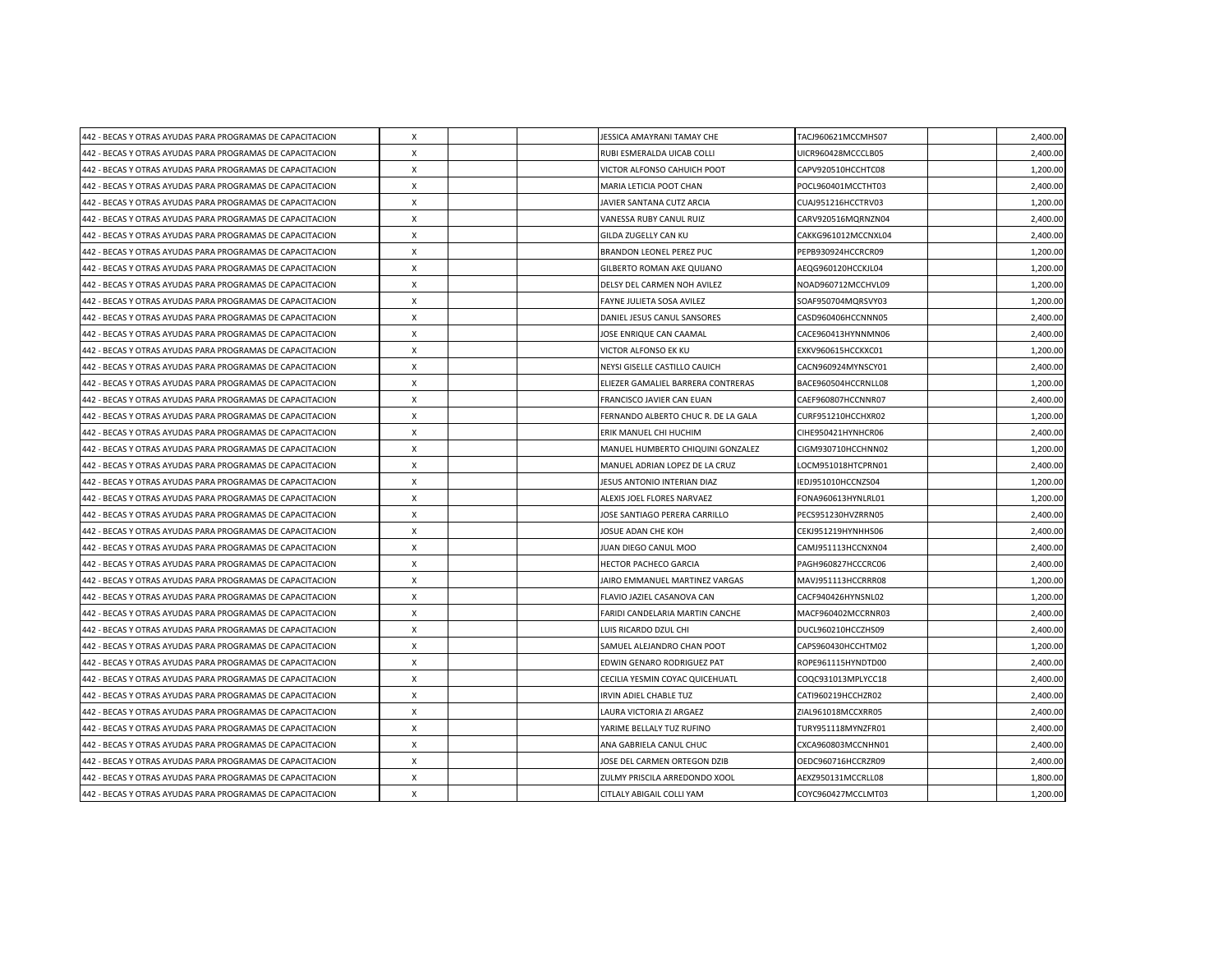| 442 - BECAS Y OTRAS AYUDAS PARA PROGRAMAS DE CAPACITACION | $\boldsymbol{\mathsf{X}}$ |  | JESSICA AMAYRANI TAMAY CHE          | TACJ960621MCCMHS07  | 2,400.00 |
|-----------------------------------------------------------|---------------------------|--|-------------------------------------|---------------------|----------|
| 442 - BECAS Y OTRAS AYUDAS PARA PROGRAMAS DE CAPACITACION | X                         |  | RUBI ESMERALDA UICAB COLLI          | UICR960428MCCCLB05  | 2,400.00 |
| 442 - BECAS Y OTRAS AYUDAS PARA PROGRAMAS DE CAPACITACION | $\boldsymbol{\mathsf{X}}$ |  | VICTOR ALFONSO CAHUICH POOT         | CAPV920510HCCHTC08  | 1,200.00 |
| 442 - BECAS Y OTRAS AYUDAS PARA PROGRAMAS DE CAPACITACION | $\boldsymbol{\mathsf{X}}$ |  | MARIA LETICIA POOT CHAN             | POCL960401MCCTHT03  | 2,400.00 |
| 442 - BECAS Y OTRAS AYUDAS PARA PROGRAMAS DE CAPACITACION | X                         |  | JAVIER SANTANA CUTZ ARCIA           | CUAJ951216HCCTRV03  | 1,200.00 |
| 442 - BECAS Y OTRAS AYUDAS PARA PROGRAMAS DE CAPACITACION | $\boldsymbol{\mathsf{X}}$ |  | VANESSA RUBY CANUL RUIZ             | CARV920516MQRNZN04  | 2,400.00 |
| 442 - BECAS Y OTRAS AYUDAS PARA PROGRAMAS DE CAPACITACION | $\boldsymbol{\mathsf{X}}$ |  | GILDA ZUGELLY CAN KU                | CAKKG961012MCCNXL04 | 2,400.00 |
| 442 - BECAS Y OTRAS AYUDAS PARA PROGRAMAS DE CAPACITACION | X                         |  | BRANDON LEONEL PEREZ PUC            | PEPB930924HCCRCR09  | 1,200.00 |
| 442 - BECAS Y OTRAS AYUDAS PARA PROGRAMAS DE CAPACITACION | $\boldsymbol{\mathsf{X}}$ |  | GILBERTO ROMAN AKE QUIJANO          | AEQG960120HCCKJL04  | 1,200.00 |
| 442 - BECAS Y OTRAS AYUDAS PARA PROGRAMAS DE CAPACITACION | $\boldsymbol{\mathsf{X}}$ |  | DELSY DEL CARMEN NOH AVILEZ         | NOAD960712MCCHVL09  | 1,200.00 |
| 442 - BECAS Y OTRAS AYUDAS PARA PROGRAMAS DE CAPACITACION | $\mathsf{x}$              |  | FAYNE JULIETA SOSA AVILEZ           | SOAF950704MQRSVY03  | 1,200.00 |
| 442 - BECAS Y OTRAS AYUDAS PARA PROGRAMAS DE CAPACITACION | $\boldsymbol{\mathsf{x}}$ |  | DANIEL JESUS CANUL SANSORES         | CASD960406HCCNNN05  | 2,400.00 |
| 442 - BECAS Y OTRAS AYUDAS PARA PROGRAMAS DE CAPACITACION | X                         |  | JOSE ENRIQUE CAN CAAMAL             | CACE960413HYNNMN06  | 2,400.00 |
| 442 - BECAS Y OTRAS AYUDAS PARA PROGRAMAS DE CAPACITACION | $\boldsymbol{\mathsf{X}}$ |  | VICTOR ALFONSO EK KU                | EXKV960615HCCKXC01  | 1,200.00 |
| 442 - BECAS Y OTRAS AYUDAS PARA PROGRAMAS DE CAPACITACION | $\times$                  |  | NEYSI GISELLE CASTILLO CAUICH       | CACN960924MYNSCY01  | 2,400.00 |
| 442 - BECAS Y OTRAS AYUDAS PARA PROGRAMAS DE CAPACITACION | $\pmb{\chi}$              |  | ELIEZER GAMALIEL BARRERA CONTRERAS  | BACE960504HCCRNLL08 | 1,200.00 |
| 442 - BECAS Y OTRAS AYUDAS PARA PROGRAMAS DE CAPACITACION | $\boldsymbol{\mathsf{X}}$ |  | FRANCISCO JAVIER CAN EUAN           | CAEF960807HCCNNR07  | 2,400.00 |
| 442 - BECAS Y OTRAS AYUDAS PARA PROGRAMAS DE CAPACITACION | $\times$                  |  | FERNANDO ALBERTO CHUC R. DE LA GALA | CURF951210HCCHXR02  | 1,200.00 |
| 442 - BECAS Y OTRAS AYUDAS PARA PROGRAMAS DE CAPACITACION | $\times$                  |  | ERIK MANUEL CHI HUCHIM              | CIHE950421HYNHCR06  | 2,400.00 |
| 442 - BECAS Y OTRAS AYUDAS PARA PROGRAMAS DE CAPACITACION | X                         |  | MANUEL HUMBERTO CHIQUINI GONZALEZ   | CIGM930710HCCHNN02  | 1,200.00 |
| 442 - BECAS Y OTRAS AYUDAS PARA PROGRAMAS DE CAPACITACION | X                         |  | MANUEL ADRIAN LOPEZ DE LA CRUZ      | LOCM951018HTCPRN01  | 2,400.00 |
| 442 - BECAS Y OTRAS AYUDAS PARA PROGRAMAS DE CAPACITACION | X                         |  | JESUS ANTONIO INTERIAN DIAZ         | IEDJ951010HCCNZS04  | 1,200.00 |
| 442 - BECAS Y OTRAS AYUDAS PARA PROGRAMAS DE CAPACITACION | $\boldsymbol{\mathsf{X}}$ |  | ALEXIS JOEL FLORES NARVAEZ          | FONA960613HYNLRL01  | 1,200.00 |
| 442 - BECAS Y OTRAS AYUDAS PARA PROGRAMAS DE CAPACITACION | $\times$                  |  | JOSE SANTIAGO PERERA CARRILLO       | PECS951230HVZRRN05  | 2,400.00 |
| 442 - BECAS Y OTRAS AYUDAS PARA PROGRAMAS DE CAPACITACION | X                         |  | JOSUE ADAN CHE KOH                  | CEKJ951219HYNHHS06  | 2,400.00 |
| 442 - BECAS Y OTRAS AYUDAS PARA PROGRAMAS DE CAPACITACION | $\times$                  |  | JUAN DIEGO CANUL MOO                | CAMJ951113HCCNXN04  | 2,400.00 |
| 442 - BECAS Y OTRAS AYUDAS PARA PROGRAMAS DE CAPACITACION | $\boldsymbol{\mathsf{X}}$ |  | <b>HECTOR PACHECO GARCIA</b>        | PAGH960827HCCCRC06  | 2,400.00 |
| 442 - BECAS Y OTRAS AYUDAS PARA PROGRAMAS DE CAPACITACION | $\times$                  |  | JAIRO EMMANUEL MARTINEZ VARGAS      | MAVJ951113HCCRRR08  | 1,200.00 |
| 442 - BECAS Y OTRAS AYUDAS PARA PROGRAMAS DE CAPACITACION | $\times$                  |  | FLAVIO JAZIEL CASANOVA CAN          | CACF940426HYNSNL02  | 1,200.00 |
| 442 - BECAS Y OTRAS AYUDAS PARA PROGRAMAS DE CAPACITACION | X                         |  | FARIDI CANDELARIA MARTIN CANCHE     | MACF960402MCCRNR03  | 2,400.00 |
| 442 - BECAS Y OTRAS AYUDAS PARA PROGRAMAS DE CAPACITACION | $\times$                  |  | LUIS RICARDO DZUL CHI               | DUCL960210HCCZHS09  | 2,400.00 |
| 442 - BECAS Y OTRAS AYUDAS PARA PROGRAMAS DE CAPACITACION | X                         |  | SAMUEL ALEJANDRO CHAN POOT          | CAPS960430HCCHTM02  | 1,200.00 |
| 442 - BECAS Y OTRAS AYUDAS PARA PROGRAMAS DE CAPACITACION | $\boldsymbol{\mathsf{X}}$ |  | EDWIN GENARO RODRIGUEZ PAT          | ROPE961115HYNDTD00  | 2,400.00 |
| 442 - BECAS Y OTRAS AYUDAS PARA PROGRAMAS DE CAPACITACION | X                         |  | CECILIA YESMIN COYAC QUICEHUATL     | COQC931013MPLYCC18  | 2,400.00 |
| 442 - BECAS Y OTRAS AYUDAS PARA PROGRAMAS DE CAPACITACION | X                         |  | IRVIN ADIEL CHABLE TUZ              | CATI960219HCCHZR02  | 2,400.00 |
| 442 - BECAS Y OTRAS AYUDAS PARA PROGRAMAS DE CAPACITACION | X                         |  | LAURA VICTORIA ZI ARGAEZ            | ZIAL961018MCCXRR05  | 2,400.00 |
| 442 - BECAS Y OTRAS AYUDAS PARA PROGRAMAS DE CAPACITACION | X                         |  | YARIME BELLALY TUZ RUFINO           | TURY951118MYNZFR01  | 2,400.00 |
| 442 - BECAS Y OTRAS AYUDAS PARA PROGRAMAS DE CAPACITACION | $\boldsymbol{\mathsf{X}}$ |  | ANA GABRIELA CANUL CHUC             | CXCA960803MCCNHN01  | 2,400.00 |
| 442 - BECAS Y OTRAS AYUDAS PARA PROGRAMAS DE CAPACITACION | $\boldsymbol{\mathsf{X}}$ |  | JOSE DEL CARMEN ORTEGON DZIB        | OEDC960716HCCRZR09  | 2,400.00 |
| 442 - BECAS Y OTRAS AYUDAS PARA PROGRAMAS DE CAPACITACION | X                         |  | ZULMY PRISCILA ARREDONDO XOOL       | AEXZ950131MCCRLL08  | 1,800.00 |
| 442 - BECAS Y OTRAS AYUDAS PARA PROGRAMAS DE CAPACITACION | $\pmb{\times}$            |  | CITLALY ABIGAIL COLLI YAM           | COYC960427MCCLMT03  | 1,200.00 |